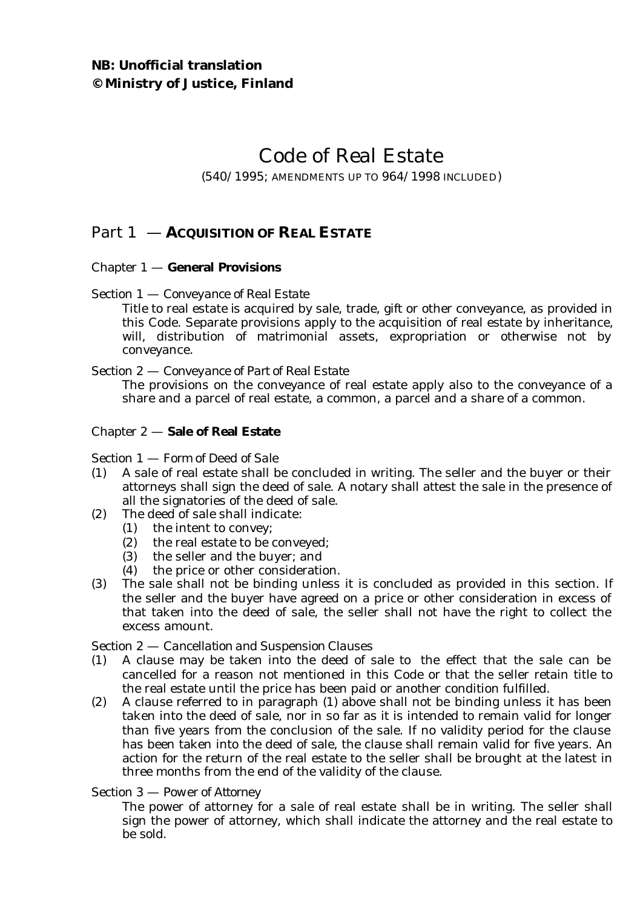# Code of Real Estate

### (540/1995; AMENDMENTS UP TO 964/1998 INCLUDED)

# Part 1 — **ACQUISITION OF REAL ESTATE**

### Chapter 1 — **General Provisions**

### Section 1 — *Conveyance of Real Estate*

Title to real estate is acquired by sale, trade, gift or other conveyance, as provided in this Code. Separate provisions apply to the acquisition of real estate by inheritance, will, distribution of matrimonial assets, expropriation or otherwise not by conveyance.

#### Section 2 — *Conveyance of Part of Real Estate*

The provisions on the conveyance of real estate apply also to the conveyance of a share and a parcel of real estate, a common, a parcel and a share of a common.

### Chapter 2 — **Sale of Real Estate**

#### Section 1 — *Form of Deed of Sale*

- (1) A sale of real estate shall be concluded in writing. The seller and the buyer or their attorneys shall sign the deed of sale. A notary shall attest the sale in the presence of all the signatories of the deed of sale.
- (2) The deed of sale shall indicate:
	- (1) the intent to convey;
	- (2) the real estate to be conveyed;
	- (3) the seller and the buyer; and
	- (4) the price or other consideration.
- (3) The sale shall not be binding unless it is concluded as provided in this section. If the seller and the buyer have agreed on a price or other consideration in excess of that taken into the deed of sale, the seller shall not have the right to collect the excess amount.

### Section 2 — *Cancellation and Suspension Clauses*

- (1) A clause may be taken into the deed of sale to the effect that the sale can be cancelled for a reason not mentioned in this Code or that the seller retain title to the real estate until the price has been paid or another condition fulfilled.
- (2) A clause referred to in paragraph (1) above shall not be binding unless it has been taken into the deed of sale, nor in so far as it is intended to remain valid for longer than five years from the conclusion of the sale. If no validity period for the clause has been taken into the deed of sale, the clause shall remain valid for five years. An action for the return of the real estate to the seller shall be brought at the latest in three months from the end of the validity of the clause.

### Section 3 — *Power of Attorney*

The power of attorney for a sale of real estate shall be in writing. The seller shall sign the power of attorney, which shall indicate the attorney and the real estate to be sold.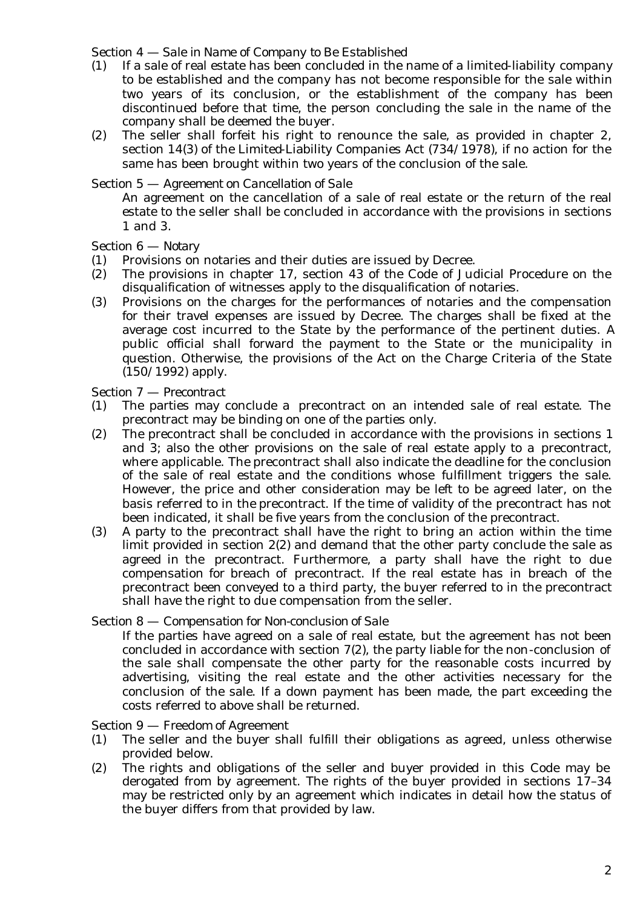#### Section 4 — *Sale in Name of Company to Be Established*

- (1) If a sale of real estate has been concluded in the name of a limited-liability company to be established and the company has not become responsible for the sale within two years of its conclusion, or the establishment of the company has been discontinued before that time, the person concluding the sale in the name of the company shall be deemed the buyer.
- (2) The seller shall forfeit his right to renounce the sale, as provided in chapter 2, section 14(3) of the Limited-Liability Companies Act (734/1978), if no action for the same has been brought within two years of the conclusion of the sale.

#### Section 5 — *Agreement on Cancellation of Sale*

An agreement on the cancellation of a sale of real estate or the return of the real estate to the seller shall be concluded in accordance with the provisions in sections 1 and 3.

### Section 6 — *Notary*

- (1) Provisions on notaries and their duties are issued by Decree.
- (2) The provisions in chapter 17, section 43 of the Code of Judicial Procedure on the disqualification of witnesses apply to the disqualification of notaries.
- (3) Provisions on the charges for the performances of notaries and the compensation for their travel expenses are issued by Decree. The charges shall be fixed at the average cost incurred to the State by the performance of the pertinent duties. A public official shall forward the payment to the State or the municipality in question. Otherwise, the provisions of the Act on the Charge Criteria of the State (150/1992) apply.

#### Section 7 — *Precontract*

- (1) The parties may conclude a precontract on an intended sale of real estate. The precontract may be binding on one of the parties only.
- (2) The precontract shall be concluded in accordance with the provisions in sections 1 and 3; also the other provisions on the sale of real estate apply to a precontract, where applicable. The precontract shall also indicate the deadline for the conclusion of the sale of real estate and the conditions whose fulfillment triggers the sale. However, the price and other consideration may be left to be agreed later, on the basis referred to in the precontract. If the time of validity of the precontract has not been indicated, it shall be five years from the conclusion of the precontract.
- (3) A party to the precontract shall have the right to bring an action within the time limit provided in section 2(2) and demand that the other party conclude the sale as agreed in the precontract. Furthermore, a party shall have the right to due compensation for breach of precontract. If the real estate has in breach of the precontract been conveyed to a third party, the buyer referred to in the precontract shall have the right to due compensation from the seller.

#### Section 8 — *Compensation for Non-conclusion of Sale*

If the parties have agreed on a sale of real estate, but the agreement has not been concluded in accordance with section 7(2), the party liable for the non-conclusion of the sale shall compensate the other party for the reasonable costs incurred by advertising, visiting the real estate and the other activities necessary for the conclusion of the sale. If a down payment has been made, the part exceeding the costs referred to above shall be returned.

### Section 9 — *Freedom of Agreement*

- (1) The seller and the buyer shall fulfill their obligations as agreed, unless otherwise provided below.
- (2) The rights and obligations of the seller and buyer provided in this Code may be derogated from by agreement. The rights of the buyer provided in sections 17–34 may be restricted only by an agreement which indicates in detail how the status of the buyer differs from that provided by law.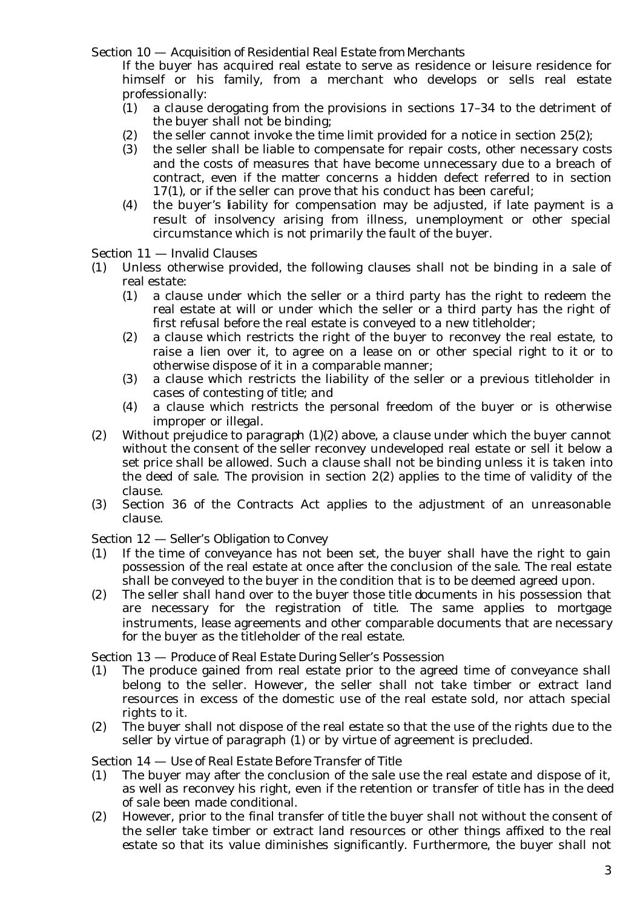Section 10 — *Acquisition of Residential Real Estate from Merchants*

If the buyer has acquired real estate to serve as residence or leisure residence for himself or his family, from a merchant who develops or sells real estate professionally:

- (1) a clause derogating from the provisions in sections 17–34 to the detriment of the buyer shall not be binding;
- (2) the seller cannot invoke the time limit provided for a notice in section 25(2);
- (3) the seller shall be liable to compensate for repair costs, other necessary costs and the costs of measures that have become unnecessary due to a breach of contract, even if the matter concerns a hidden defect referred to in section 17(1), or if the seller can prove that his conduct has been careful;
- (4) the buyer's liability for compensation may be adjusted, if late payment is a result of insolvency arising from illness, unemployment or other special circumstance which is not primarily the fault of the buyer.

Section 11 — Invalid Clauses

- (1) Unless otherwise provided, the following clauses shall not be binding in a sale of real estate:
	- (1) a clause under which the seller or a third party has the right to redeem the real estate at will or under which the seller or a third party has the right of first refusal before the real estate is conveyed to a new titleholder;
	- (2) a clause which restricts the right of the buyer to reconvey the real estate, to raise a lien over it, to agree on a lease on or other special right to it or to otherwise dispose of it in a comparable manner;
	- (3) a clause which restricts the liability of the seller or a previous titleholder in cases of contesting of title; and
	- (4) a clause which restricts the personal freedom of the buyer or is otherwise improper or illegal.
- (2) Without prejudice to paragraph  $(1)(2)$  above, a clause under which the buyer cannot without the consent of the seller reconvey undeveloped real estate or sell it below a set price shall be allowed. Such a clause shall not be binding unless it is taken into the deed of sale. The provision in section 2(2) applies to the time of validity of the clause.
- (3) Section 36 of the Contracts Act applies to the adjustment of an unreasonable clause.

### Section 12 — *Seller's Obligation to Convey*

- (1) If the time of conveyance has not been set, the buyer shall have the right to gain possession of the real estate at once after the conclusion of the sale. The real estate shall be conveyed to the buyer in the condition that is to be deemed agreed upon.
- (2) The seller shall hand over to the buyer those title documents in his possession that are necessary for the registration of title. The same applies to mortgage instruments, lease agreements and other comparable documents that are necessary for the buyer as the titleholder of the real estate.

### Section 13 — *Produce of Real Estate During Seller's Possession*

- (1) The produce gained from real estate prior to the agreed time of conveyance shall belong to the seller. However, the seller shall not take timber or extract land resources in excess of the domestic use of the real estate sold, nor attach special rights to it.
- (2) The buyer shall not dispose of the real estate so that the use of the rights due to the seller by virtue of paragraph (1) or by virtue of agreement is precluded.

### Section 14 — *Use of Real Estate Before Transfer of Title*

- (1) The buyer may after the conclusion of the sale use the real estate and dispose of it, as well as reconvey his right, even if the retention or transfer of title has in the deed of sale been made conditional.
- (2) However, prior to the final transfer of title the buyer shall not without the consent of the seller take timber or extract land resources or other things affixed to the real estate so that its value diminishes significantly. Furthermore, the buyer shall not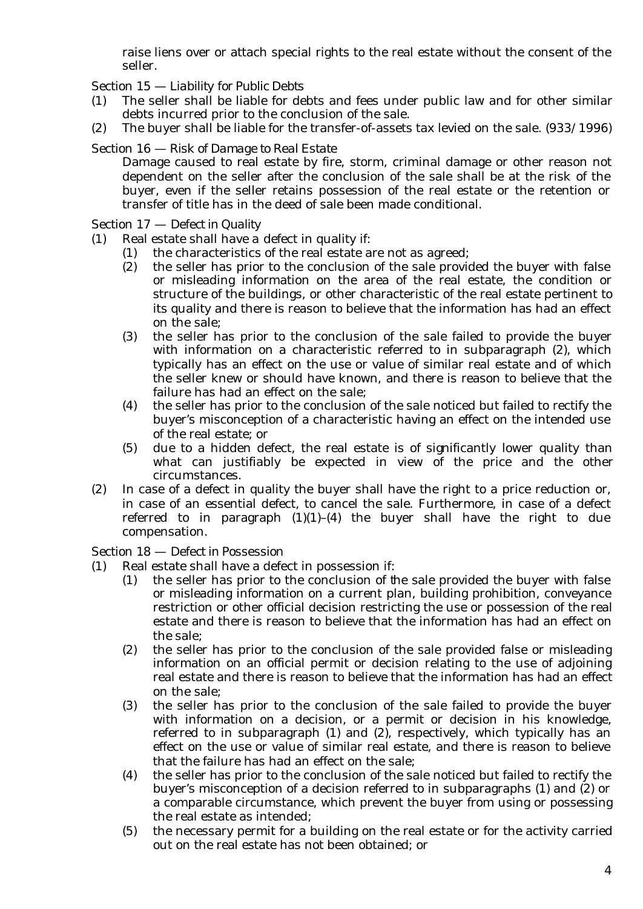raise liens over or attach special rights to the real estate without the consent of the seller.

Section 15 — *Liability for Public Debts*

- (1) The seller shall be liable for debts and fees under public law and for other similar debts incurred prior to the conclusion of the sale.
- (2) The buyer shall be liable for the transfer-of-assets tax levied on the sale. (933/1996)
- Section 16 *Risk of Damage to Real Estate*

Damage caused to real estate by fire, storm, criminal damage or other reason not dependent on the seller after the conclusion of the sale shall be at the risk of the buyer, even if the seller retains possession of the real estate or the retention or transfer of title has in the deed of sale been made conditional.

Section 17 — *Defect in Quality*

- (1) Real estate shall have a defect in quality if:
	- (1) the characteristics of the real estate are not as agreed;
	- (2) the seller has prior to the conclusion of the sale provided the buyer with false or misleading information on the area of the real estate, the condition or structure of the buildings, or other characteristic of the real estate pertinent to its quality and there is reason to believe that the information has had an effect on the sale;
	- (3) the seller has prior to the conclusion of the sale failed to provide the buyer with information on a characteristic referred to in subparagraph (2), which typically has an effect on the use or value of similar real estate and of which the seller knew or should have known, and there is reason to believe that the failure has had an effect on the sale;
	- (4) the seller has prior to the conclusion of the sale noticed but failed to rectify the buyer's misconception of a characteristic having an effect on the intended use of the real estate; or
	- (5) due to a hidden defect, the real estate is of significantly lower quality than what can justifiably be expected in view of the price and the other circumstances.
- (2) In case of a defect in quality the buyer shall have the right to a price reduction or, in case of an essential defect, to cancel the sale. Furthermore, in case of a defect referred to in paragraph  $(1)(1)-(4)$  the buyer shall have the right to due compensation.

Section 18 — *Defect in Possession*

- (1) Real estate shall have a defect in possession if:
	- (1) the seller has prior to the conclusion of the sale provided the buyer with false or misleading information on a current plan, building prohibition, conveyance restriction or other official decision restricting the use or possession of the real estate and there is reason to believe that the information has had an effect on the sale;
	- (2) the seller has prior to the conclusion of the sale provided false or misleading information on an official permit or decision relating to the use of adjoining real estate and there is reason to believe that the information has had an effect on the sale;
	- (3) the seller has prior to the conclusion of the sale failed to provide the buyer with information on a decision, or a permit or decision in his knowledge, referred to in subparagraph (1) and (2), respectively, which typically has an effect on the use or value of similar real estate, and there is reason to believe that the failure has had an effect on the sale;
	- (4) the seller has prior to the conclusion of the sale noticed but failed to rectify the buyer's misconception of a decision referred to in subparagraphs (1) and (2) or a comparable circumstance, which prevent the buyer from using or possessing the real estate as intended;
	- (5) the necessary permit for a building on the real estate or for the activity carried out on the real estate has not been obtained; or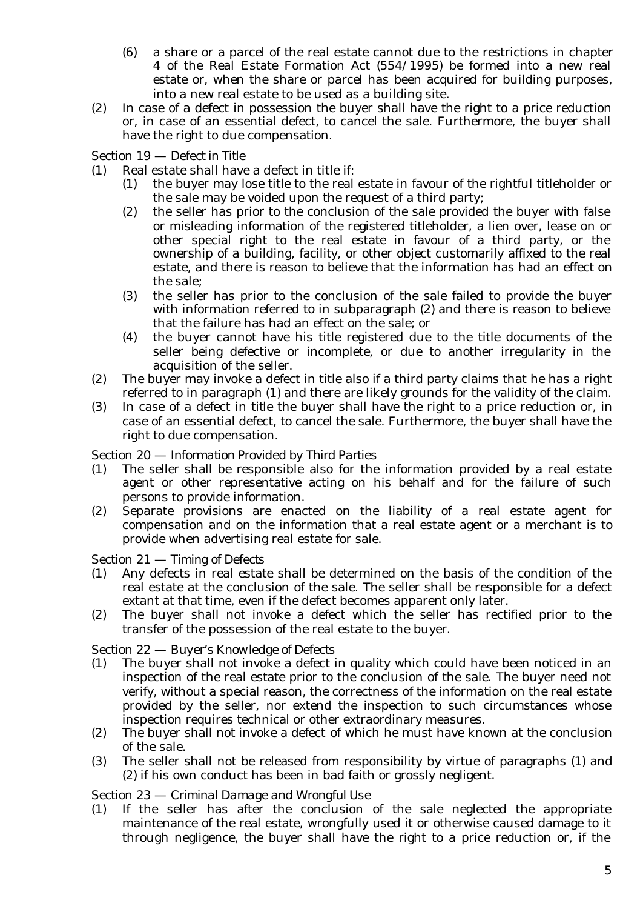- (6) a share or a parcel of the real estate cannot due to the restrictions in chapter 4 of the Real Estate Formation Act (554/1995) be formed into a new real estate or, when the share or parcel has been acquired for building purposes, into a new real estate to be used as a building site.
- (2) In case of a defect in possession the buyer shall have the right to a price reduction or, in case of an essential defect, to cancel the sale. Furthermore, the buyer shall have the right to due compensation.

Section 19 — *Defect in Title*

- (1) Real estate shall have a defect in title if:
	- (1) the buyer may lose title to the real estate in favour of the rightful titleholder or the sale may be voided upon the request of a third party;
	- (2) the seller has prior to the conclusion of the sale provided the buyer with false or misleading information of the registered titleholder, a lien over, lease on or other special right to the real estate in favour of a third party, or the ownership of a building, facility, or other object customarily affixed to the real estate, and there is reason to believe that the information has had an effect on the sale;
	- (3) the seller has prior to the conclusion of the sale failed to provide the buyer with information referred to in subparagraph (2) and there is reason to believe that the failure has had an effect on the sale; or
	- (4) the buyer cannot have his title registered due to the title documents of the seller being defective or incomplete, or due to another irregularity in the acquisition of the seller.
- (2) The buyer may invoke a defect in title also if a third party claims that he has a right referred to in paragraph (1) and there are likely grounds for the validity of the claim.
- (3) In case of a defect in title the buyer shall have the right to a price reduction or, in case of an essential defect, to cancel the sale. Furthermore, the buyer shall have the right to due compensation.

### Section 20 — *Information Provided by Third Parties*

- (1) The seller shall be responsible also for the information provided by a real estate agent or other representative acting on his behalf and for the failure of such persons to provide information.
- (2) Separate provisions are enacted on the liability of a real estate agent for compensation and on the information that a real estate agent or a merchant is to provide when advertising real estate for sale.

#### Section 21 — *Timing of Defects*

- (1) Any defects in real estate shall be determined on the basis of the condition of the real estate at the conclusion of the sale. The seller shall be responsible for a defect extant at that time, even if the defect becomes apparent only later.
- (2) The buyer shall not invoke a defect which the seller has rectified prior to the transfer of the possession of the real estate to the buyer.

### Section 22 — *Buyer's Knowledge of Defects*

- (1) The buyer shall not invoke a defect in quality which could have been noticed in an inspection of the real estate prior to the conclusion of the sale. The buyer need not verify, without a special reason, the correctness of the information on the real estate provided by the seller, nor extend the inspection to such circumstances whose inspection requires technical or other extraordinary measures.
- (2) The buyer shall not invoke a defect of which he must have known at the conclusion of the sale.
- (3) The seller shall not be released from responsibility by virtue of paragraphs (1) and (2) if his own conduct has been in bad faith or grossly negligent.

### Section 23 — *Criminal Damage and Wrongful Use*

(1) If the seller has after the conclusion of the sale neglected the appropriate maintenance of the real estate, wrongfully used it or otherwise caused damage to it through negligence, the buyer shall have the right to a price reduction or, if the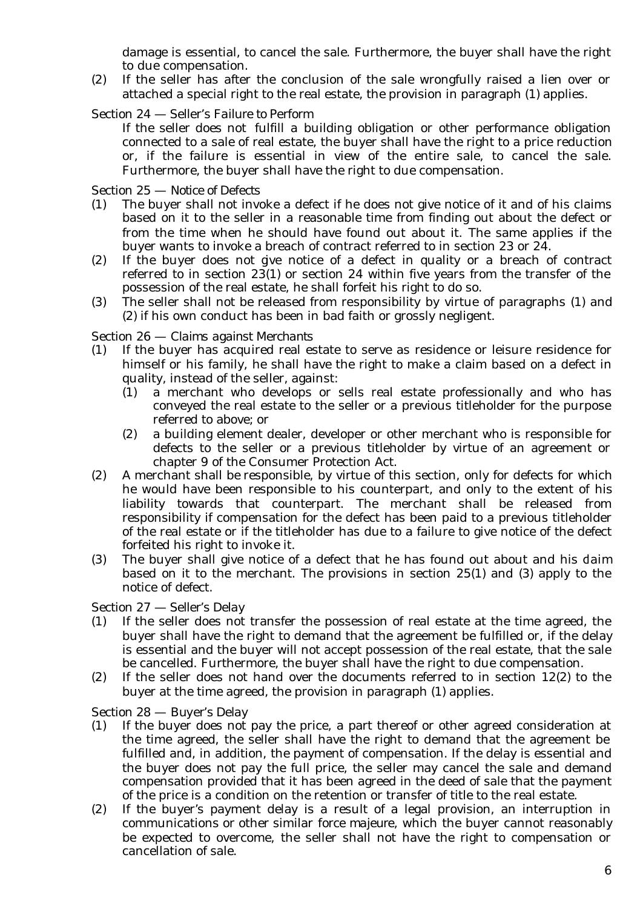damage is essential, to cancel the sale. Furthermore, the buyer shall have the right to due compensation.

- (2) If the seller has after the conclusion of the sale wrongfully raised a lien over or attached a special right to the real estate, the provision in paragraph (1) applies.
- Section 24 *Seller's Failure to Perform*

If the seller does not fulfill a building obligation or other performance obligation connected to a sale of real estate, the buyer shall have the right to a price reduction or, if the failure is essential in view of the entire sale, to cancel the sale. Furthermore, the buyer shall have the right to due compensation.

Section 25 — *Notice of Defects*

- (1) The buyer shall not invoke a defect if he does not give notice of it and of his claims based on it to the seller in a reasonable time from finding out about the defect or from the time when he should have found out about it. The same applies if the buyer wants to invoke a breach of contract referred to in section 23 or 24.
- (2) If the buyer does not give notice of a defect in quality or a breach of contract referred to in section 23(1) or section 24 within five years from the transfer of the possession of the real estate, he shall forfeit his right to do so.
- (3) The seller shall not be released from responsibility by virtue of paragraphs (1) and (2) if his own conduct has been in bad faith or grossly negligent.

#### Section 26 — *Claims against Merchants*

- (1) If the buyer has acquired real estate to serve as residence or leisure residence for himself or his family, he shall have the right to make a claim based on a defect in quality, instead of the seller, against:
	- (1) a merchant who develops or sells real estate professionally and who has conveyed the real estate to the seller or a previous titleholder for the purpose referred to above; or
	- (2) a building element dealer, developer or other merchant who is responsible for defects to the seller or a previous titleholder by virtue of an agreement or chapter 9 of the Consumer Protection Act.
- (2) A merchant shall be responsible, by virtue of this section, only for defects for which he would have been responsible to his counterpart, and only to the extent of his liability towards that counterpart. The merchant shall be released from responsibility if compensation for the defect has been paid to a previous titleholder of the real estate or if the titleholder has due to a failure to give notice of the defect forfeited his right to invoke it.
- (3) The buyer shall give notice of a defect that he has found out about and his daim based on it to the merchant. The provisions in section 25(1) and (3) apply to the notice of defect.

Section 27 — *Seller's Delay*

- (1) If the seller does not transfer the possession of real estate at the time agreed, the buyer shall have the right to demand that the agreement be fulfilled or, if the delay is essential and the buyer will not accept possession of the real estate, that the sale be cancelled. Furthermore, the buyer shall have the right to due compensation.
- (2) If the seller does not hand over the documents referred to in section 12(2) to the buyer at the time agreed, the provision in paragraph (1) applies.

### Section 28 — *Buyer's Delay*

- (1) If the buyer does not pay the price, a part thereof or other agreed consideration at the time agreed, the seller shall have the right to demand that the agreement be fulfilled and, in addition, the payment of compensation. If the delay is essential and the buyer does not pay the full price, the seller may cancel the sale and demand compensation provided that it has been agreed in the deed of sale that the payment of the price is a condition on the retention or transfer of title to the real estate.
- (2) If the buyer's payment delay is a result of a legal provision, an interruption in communications or other similar *force majeure*, which the buyer cannot reasonably be expected to overcome, the seller shall not have the right to compensation or cancellation of sale.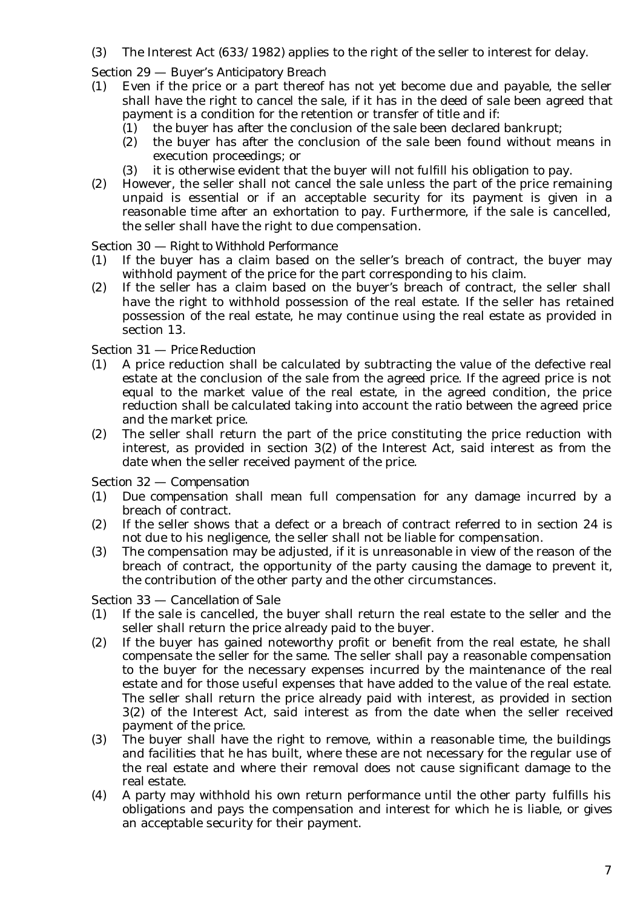- (3) The Interest Act (633/1982) applies to the right of the seller to interest for delay.
- Section 29 *Buyer's Anticipatory Breach*
- (1) Even if the price or a part thereof has not yet become due and payable, the seller shall have the right to cancel the sale, if it has in the deed of sale been agreed that payment is a condition for the retention or transfer of title and if:
	- (1) the buyer has after the conclusion of the sale been declared bankrupt;
	- (2) the buyer has after the conclusion of the sale been found without means in execution proceedings; or
	- (3) it is otherwise evident that the buyer will not fulfill his obligation to pay.
- (2) However, the seller shall not cancel the sale unless the part of the price remaining unpaid is essential or if an acceptable security for its payment is given in a reasonable time after an exhortation to pay. Furthermore, if the sale is cancelled, the seller shall have the right to due compensation.

### Section 30 — *Right to Withhold Performance*

- (1) If the buyer has a claim based on the seller's breach of contract, the buyer may withhold payment of the price for the part corresponding to his claim.
- (2) If the seller has a claim based on the buyer's breach of contract, the seller shall have the right to withhold possession of the real estate. If the seller has retained possession of the real estate, he may continue using the real estate as provided in section 13.

### Section 31 — *Price Reduction*

- (1) A price reduction shall be calculated by subtracting the value of the defective real estate at the conclusion of the sale from the agreed price. If the agreed price is not equal to the market value of the real estate, in the agreed condition, the price reduction shall be calculated taking into account the ratio between the agreed price and the market price.
- (2) The seller shall return the part of the price constituting the price reduction with interest, as provided in section 3(2) of the Interest Act, said interest as from the date when the seller received payment of the price.

### Section 32 — *Compensation*

- (1) *Due compensation* shall mean full compensation for any damage incurred by a breach of contract.
- (2) If the seller shows that a defect or a breach of contract referred to in section 24 is not due to his negligence, the seller shall not be liable for compensation.
- (3) The compensation may be adjusted, if it is unreasonable in view of the reason of the breach of contract, the opportunity of the party causing the damage to prevent it, the contribution of the other party and the other circumstances.

### Section 33 — *Cancellation of Sale*

- (1) If the sale is cancelled, the buyer shall return the real estate to the seller and the seller shall return the price already paid to the buyer.
- (2) If the buyer has gained noteworthy profit or benefit from the real estate, he shall compensate the seller for the same. The seller shall pay a reasonable compensation to the buyer for the necessary expenses incurred by the maintenance of the real estate and for those useful expenses that have added to the value of the real estate. The seller shall return the price already paid with interest, as provided in section 3(2) of the Interest Act, said interest as from the date when the seller received payment of the price.
- (3) The buyer shall have the right to remove, within a reasonable time, the buildings and facilities that he has built, where these are not necessary for the regular use of the real estate and where their removal does not cause significant damage to the real estate.
- (4) A party may withhold his own return performance until the other party fulfills his obligations and pays the compensation and interest for which he is liable, or gives an acceptable security for their payment.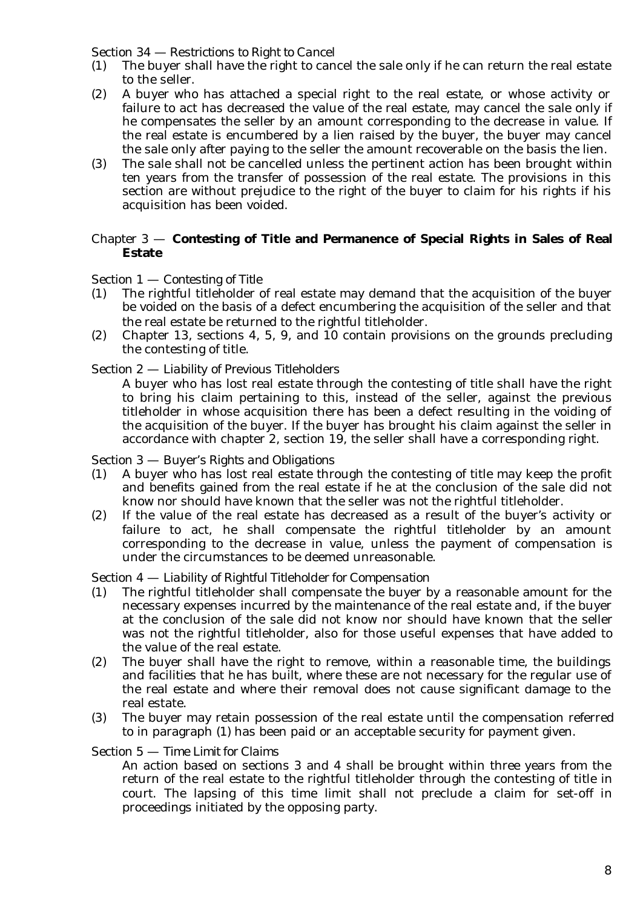### Section 34 — *Restrictions to Right to Cancel*

- (1) The buyer shall have the right to cancel the sale only if he can return the real estate to the seller.
- (2) A buyer who has attached a special right to the real estate, or whose activity or failure to act has decreased the value of the real estate, may cancel the sale only if he compensates the seller by an amount corresponding to the decrease in value. If the real estate is encumbered by a lien raised by the buyer, the buyer may cancel the sale only after paying to the seller the amount recoverable on the basis the lien.
- (3) The sale shall not be cancelled unless the pertinent action has been brought within ten years from the transfer of possession of the real estate. The provisions in this section are without prejudice to the right of the buyer to claim for his rights if his acquisition has been voided.

### Chapter 3 — **Contesting of Title and Permanence of Special Rights in Sales of Real Estate**

Section 1 — *Contesting of Title*

- (1) The rightful titleholder of real estate may demand that the acquisition of the buyer be voided on the basis of a defect encumbering the acquisition of the seller and that the real estate be returned to the rightful titleholder.
- (2) Chapter 13, sections 4, 5, 9, and 10 contain provisions on the grounds precluding the contesting of title.

#### Section 2 — *Liability of Previous Titleholders*

A buyer who has lost real estate through the contesting of title shall have the right to bring his claim pertaining to this, instead of the seller, against the previous titleholder in whose acquisition there has been a defect resulting in the voiding of the acquisition of the buyer. If the buyer has brought his claim against the seller in accordance with chapter 2, section 19, the seller shall have a corresponding right.

#### Section 3 — *Buyer's Rights and Obligations*

- (1) A buyer who has lost real estate through the contesting of title may keep the profit and benefits gained from the real estate if he at the conclusion of the sale did not know nor should have known that the seller was not the rightful titleholder.
- (2) If the value of the real estate has decreased as a result of the buyer's activity or failure to act, he shall compensate the rightful titleholder by an amount corresponding to the decrease in value, unless the payment of compensation is under the circumstances to be deemed unreasonable.

### Section 4 — *Liability of Rightful Titleholder for Compensation*

- (1) The rightful titleholder shall compensate the buyer by a reasonable amount for the necessary expenses incurred by the maintenance of the real estate and, if the buyer at the conclusion of the sale did not know nor should have known that the seller was not the rightful titleholder, also for those useful expenses that have added to the value of the real estate.
- (2) The buyer shall have the right to remove, within a reasonable time, the buildings and facilities that he has built, where these are not necessary for the regular use of the real estate and where their removal does not cause significant damage to the real estate.
- (3) The buyer may retain possession of the real estate until the compensation referred to in paragraph (1) has been paid or an acceptable security for payment given.

#### Section 5 — *Time Limit for Claims*

An action based on sections 3 and 4 shall be brought within three years from the return of the real estate to the rightful titleholder through the contesting of title in court. The lapsing of this time limit shall not preclude a claim for set-off in proceedings initiated by the opposing party.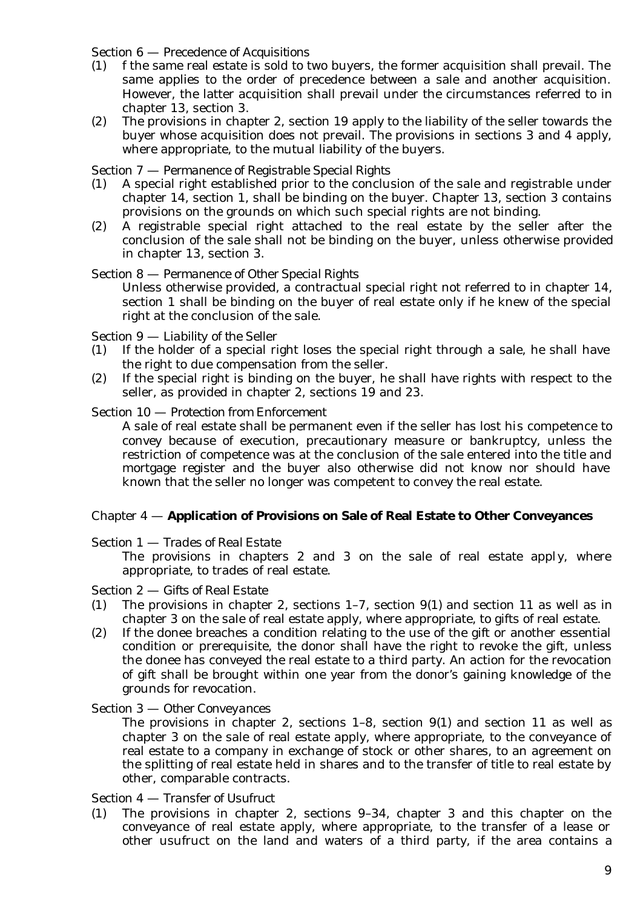### Section 6 — *Precedence of Acquisitions*

- (1) f the same real estate is sold to two buyers, the former acquisition shall prevail. The same applies to the order of precedence between a sale and another acquisition. However, the latter acquisition shall prevail under the circumstances referred to in chapter 13, section 3.
- (2) The provisions in chapter 2, section 19 apply to the liability of the seller towards the buyer whose acquisition does not prevail. The provisions in sections 3 and 4 apply, where appropriate, to the mutual liability of the buyers.

#### Section 7 — *Permanence of Registrable Special Rights*

- (1) A special right established prior to the conclusion of the sale and registrable under chapter 14, section 1, shall be binding on the buyer. Chapter 13, section 3 contains provisions on the grounds on which such special rights are not binding.
- (2) A registrable special right attached to the real estate by the seller after the conclusion of the sale shall not be binding on the buyer, unless otherwise provided in chapter 13, section 3.

#### Section 8 — *Permanence of Other Special Rights*

Unless otherwise provided, a contractual special right not referred to in chapter 14, section 1 shall be binding on the buyer of real estate only if he knew of the special right at the conclusion of the sale.

#### Section 9 — *Liability of the Seller*

- (1) If the holder of a special right loses the special right through a sale, he shall have the right to due compensation from the seller.
- (2) If the special right is binding on the buyer, he shall have rights with respect to the seller, as provided in chapter 2, sections 19 and 23.

#### Section 10 — *Protection from Enforcement*

A sale of real estate shall be permanent even if the seller has lost his competence to convey because of execution, precautionary measure or bankruptcy, unless the restriction of competence was at the conclusion of the sale entered into the title and mortgage register and the buyer also otherwise did not know nor should have known that the seller no longer was competent to convey the real estate.

### Chapter 4 — **Application of Provisions on Sale of Real Estate to Other Conveyances**

#### Section 1 — *Trades of Real Estate*

The provisions in chapters 2 and 3 on the sale of real estate apply, where appropriate, to trades of real estate.

#### Section 2 — *Gifts of Real Estate*

- (1) The provisions in chapter 2, sections 1–7, section 9(1) and section 11 as well as in chapter 3 on the sale of real estate apply, where appropriate, to gifts of real estate.
- (2) If the donee breaches a condition relating to the use of the gift or another essential condition or prerequisite, the donor shall have the right to revoke the gift, unless the donee has conveyed the real estate to a third party. An action for the revocation of gift shall be brought within one year from the donor's gaining knowledge of the grounds for revocation.

#### Section 3 — *Other Conveyances*

The provisions in chapter 2, sections 1–8, section 9(1) and section 11 as well as chapter 3 on the sale of real estate apply, where appropriate, to the conveyance of real estate to a company in exchange of stock or other shares, to an agreement on the splitting of real estate held in shares and to the transfer of title to real estate by other, comparable contracts.

#### Section 4 — *Transfer of Usufruct*

(1) The provisions in chapter 2, sections 9–34, chapter 3 and this chapter on the conveyance of real estate apply, where appropriate, to the transfer of a lease or other usufruct on the land and waters of a third party, if the area contains a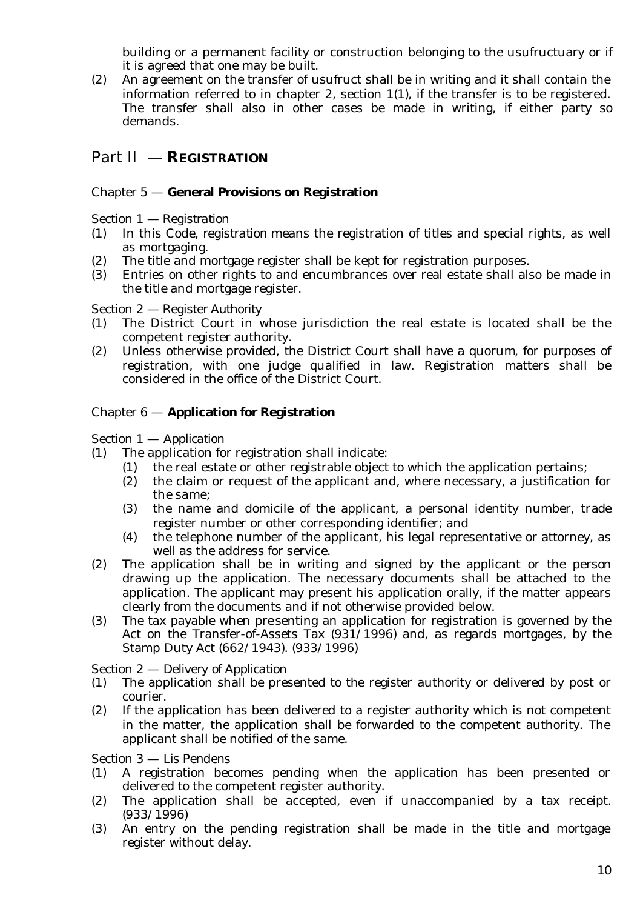building or a permanent facility or construction belonging to the usufructuary or if it is agreed that one may be built.

(2) An agreement on the transfer of usufruct shall be in writing and it shall contain the information referred to in chapter 2, section 1(1), if the transfer is to be registered. The transfer shall also in other cases be made in writing, if either party so demands.

# Part II — **REGISTRATION**

### Chapter 5 — **General Provisions on Registration**

Section 1 — *Registration*

- (1) In this Code, *registration* means the registration of titles and special rights, as well as mortgaging.
- (2) The title and mortgage register shall be kept for registration purposes.
- (3) Entries on other rights to and encumbrances over real estate shall also be made in the title and mortgage register.

#### Section 2 — *Register Authority*

- (1) The District Court in whose jurisdiction the real estate is located shall be the competent register authority.
- (2) Unless otherwise provided, the District Court shall have a quorum, for purposes of registration, with one judge qualified in law. Registration matters shall be considered in the office of the District Court.

### Chapter 6 — **Application for Registration**

#### Section 1 — *Application*

- (1) The application for registration shall indicate:
	- (1) the real estate or other registrable object to which the application pertains;
	- (2) the claim or request of the applicant and, where necessary, a justification for the same;
	- (3) the name and domicile of the applicant, a personal identity number, trade register number or other corresponding identifier; and
	- (4) the telephone number of the applicant, his legal representative or attorney, as well as the address for service.
- (2) The application shall be in writing and signed by the applicant or the person drawing up the application. The necessary documents shall be attached to the application. The applicant may present his application orally, if the matter appears clearly from the documents and if not otherwise provided below.
- (3) The tax payable when presenting an application for registration is governed by the Act on the Transfer-of-Assets Tax (931/1996) and, as regards mortgages, by the Stamp Duty Act (662/1943). (933/1996)

### Section 2 — *Delivery of Application*

- (1) The application shall be presented to the register authority or delivered by post or courier.
- (2) If the application has been delivered to a register authority which is not competent in the matter, the application shall be forwarded to the competent authority. The applicant shall be notified of the same.

Section 3 — *Lis Pendens*

- (1) A registration becomes pending when the application has been presented or delivered to the competent register authority.
- (2) The application shall be accepted, even if unaccompanied by a tax receipt. (933/1996)
- (3) An entry on the pending registration shall be made in the title and mortgage register without delay.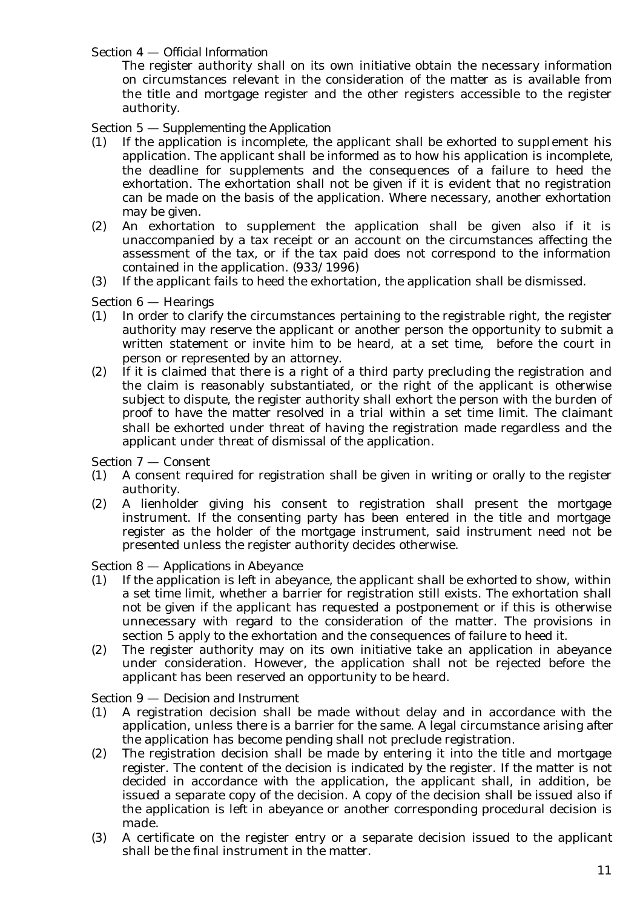Section 4 — *Official Information*

The register authority shall on its own initiative obtain the necessary information on circumstances relevant in the consideration of the matter as is available from the title and mortgage register and the other registers accessible to the register authority.

Section 5 — *Supplementing the Application*

- (1) If the application is incomplete, the applicant shall be exhorted to supplement his application. The applicant shall be informed as to how his application is incomplete, the deadline for supplements and the consequences of a failure to heed the exhortation. The exhortation shall not be given if it is evident that no registration can be made on the basis of the application. Where necessary, another exhortation may be given.
- (2) An exhortation to supplement the application shall be given also if it is unaccompanied by a tax receipt or an account on the circumstances affecting the assessment of the tax, or if the tax paid does not correspond to the information contained in the application. (933/1996)
- (3) If the applicant fails to heed the exhortation, the application shall be dismissed.

Section 6 — *Hearings*

- (1) In order to clarify the circumstances pertaining to the registrable right, the register authority may reserve the applicant or another person the opportunity to submit a written statement or invite him to be heard, at a set time, before the court in person or represented by an attorney.
- $(2)$  If it is claimed that there is a right of a third party precluding the registration and the claim is reasonably substantiated, or the right of the applicant is otherwise subject to dispute, the register authority shall exhort the person with the burden of proof to have the matter resolved in a trial within a set time limit. The claimant shall be exhorted under threat of having the registration made regardless and the applicant under threat of dismissal of the application.

Section 7 — *Consent*

- (1) A consent required for registration shall be given in writing or orally to the register authority.
- (2) A lienholder giving his consent to registration shall present the mortgage instrument. If the consenting party has been entered in the title and mortgage register as the holder of the mortgage instrument, said instrument need not be presented unless the register authority decides otherwise.

Section 8 — *Applications in Abeyance*

- (1) If the application is left in abeyance, the applicant shall be exhorted to show, within a set time limit, whether a barrier for registration still exists. The exhortation shall not be given if the applicant has requested a postponement or if this is otherwise unnecessary with regard to the consideration of the matter. The provisions in section 5 apply to the exhortation and the consequences of failure to heed it.
- (2) The register authority may on its own initiative take an application in abeyance under consideration. However, the application shall not be rejected before the applicant has been reserved an opportunity to be heard.

Section 9 — *Decision and Instrument*

- (1) A registration decision shall be made without delay and in accordance with the application, unless there is a barrier for the same. A legal circumstance arising after the application has become pending shall not preclude registration.
- (2) The registration decision shall be made by entering it into the title and mortgage register. The content of the decision is indicated by the register. If the matter is not decided in accordance with the application, the applicant shall, in addition, be issued a separate copy of the decision. A copy of the decision shall be issued also if the application is left in abeyance or another corresponding procedural decision is made.
- (3) A certificate on the register entry or a separate decision issued to the applicant shall be the final instrument in the matter.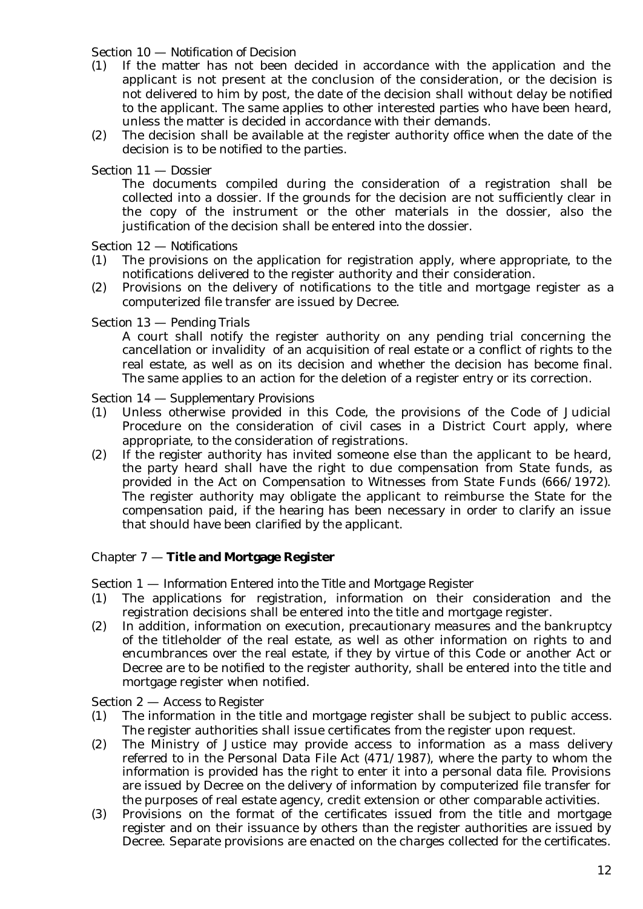#### Section 10 — *Notification of Decision*

- (1) If the matter has not been decided in accordance with the application and the applicant is not present at the conclusion of the consideration, or the decision is not delivered to him by post, the date of the decision shall without delay be notified to the applicant. The same applies to other interested parties who have been heard, unless the matter is decided in accordance with their demands.
- (2) The decision shall be available at the register authority office when the date of the decision is to be notified to the parties.

### Section 11 — *Dossier*

The documents compiled during the consideration of a registration shall be collected into a dossier. If the grounds for the decision are not sufficiently clear in the copy of the instrument or the other materials in the dossier, also the justification of the decision shall be entered into the dossier.

#### Section 12 — *Notifications*

- (1) The provisions on the application for registration apply, where appropriate, to the notifications delivered to the register authority and their consideration.
- (2) Provisions on the delivery of notifications to the title and mortgage register as a computerized file transfer are issued by Decree.

#### Section 13 — *Pending Trials*

A court shall notify the register authority on any pending trial concerning the cancellation or invalidity of an acquisition of real estate or a conflict of rights to the real estate, as well as on its decision and whether the decision has become final. The same applies to an action for the deletion of a register entry or its correction.

#### Section 14 — *Supplementary Provisions*

- (1) Unless otherwise provided in this Code, the provisions of the Code of Judicial Procedure on the consideration of civil cases in a District Court apply, where appropriate, to the consideration of registrations.
- (2) If the register authority has invited someone else than the applicant to be heard, the party heard shall have the right to due compensation from State funds, as provided in the Act on Compensation to Witnesses from State Funds (666/1972). The register authority may obligate the applicant to reimburse the State for the compensation paid, if the hearing has been necessary in order to clarify an issue that should have been clarified by the applicant.

### Chapter 7 — **Title and Mortgage Register**

#### Section 1 — *Information Entered into the Title and Mortgage Register*

- (1) The applications for registration, information on their consideration and the registration decisions shall be entered into the title and mortgage register.
- (2) In addition, information on execution, precautionary measures and the bankruptcy of the titleholder of the real estate, as well as other information on rights to and encumbrances over the real estate, if they by virtue of this Code or another Act or Decree are to be notified to the register authority, shall be entered into the title and mortgage register when notified.

#### Section 2 — *Access to Register*

- (1) The information in the title and mortgage register shall be subject to public access. The register authorities shall issue certificates from the register upon request.
- (2) The Ministry of Justice may provide access to information as a mass delivery referred to in the Personal Data File Act (471/1987), where the party to whom the information is provided has the right to enter it into a personal data file. Provisions are issued by Decree on the delivery of information by computerized file transfer for the purposes of real estate agency, credit extension or other comparable activities.
- (3) Provisions on the format of the certificates issued from the title and mortgage register and on their issuance by others than the register authorities are issued by Decree. Separate provisions are enacted on the charges collected for the certificates.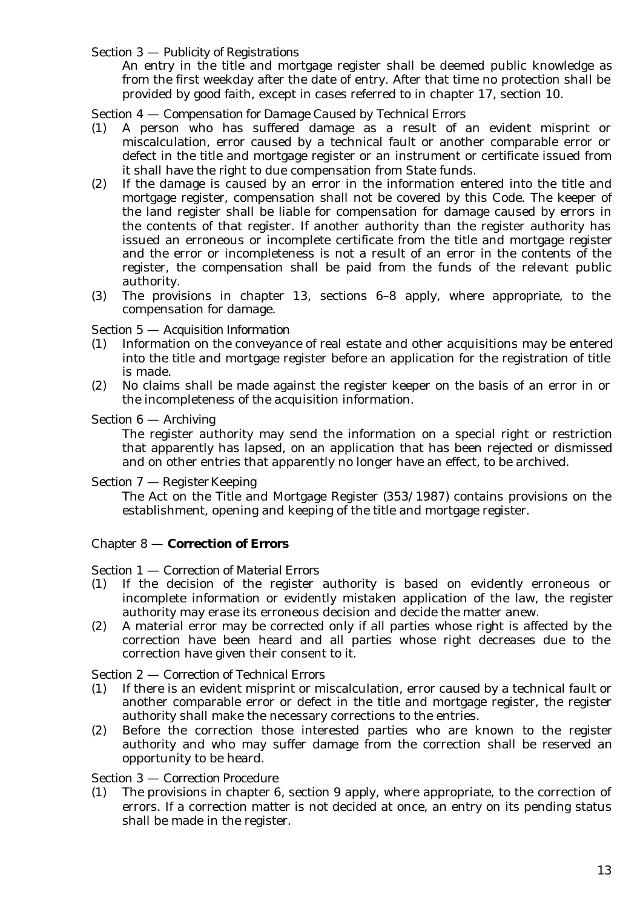### Section 3 — *Publicity of Registrations*

An entry in the title and mortgage register shall be deemed public knowledge as from the first weekday after the date of entry. After that time no protection shall be provided by good faith, except in cases referred to in chapter 17, section 10.

### Section 4 — *Compensation for Damage Caused by Technical Errors*

- (1) A person who has suffered damage as a result of an evident misprint or miscalculation, error caused by a technical fault or another comparable error or defect in the title and mortgage register or an instrument or certificate issued from it shall have the right to due compensation from State funds.
- (2) If the damage is caused by an error in the information entered into the title and mortgage register, compensation shall not be covered by this Code. The keeper of the land register shall be liable for compensation for damage caused by errors in the contents of that register. If another authority than the register authority has issued an erroneous or incomplete certificate from the title and mortgage register and the error or incompleteness is not a result of an error in the contents of the register, the compensation shall be paid from the funds of the relevant public authority.
- (3) The provisions in chapter 13, sections 6–8 apply, where appropriate, to the compensation for damage.

### Section 5 — *Acquisition Information*

- (1) Information on the conveyance of real estate and other acquisitions may be entered into the title and mortgage register before an application for the registration of title is made.
- (2) No claims shall be made against the register keeper on the basis of an error in or the incompleteness of the acquisition information.

### Section 6 — *Archiving*

The register authority may send the information on a special right or restriction that apparently has lapsed, on an application that has been rejected or dismissed and on other entries that apparently no longer have an effect, to be archived.

### Section 7 — *Register Keeping*

The Act on the Title and Mortgage Register (353/1987) contains provisions on the establishment, opening and keeping of the title and mortgage register.

### Chapter 8 — **Correction of Errors**

### Section 1 — *Correction of Material Errors*

- (1) If the decision of the register authority is based on evidently erroneous or incomplete information or evidently mistaken application of the law, the register authority may erase its erroneous decision and decide the matter anew.
- (2) A material error may be corrected only if all parties whose right is affected by the correction have been heard and all parties whose right decreases due to the correction have given their consent to it.

### Section 2 — *Correction of Technical Errors*

- (1) If there is an evident misprint or miscalculation, error caused by a technical fault or another comparable error or defect in the title and mortgage register, the register authority shall make the necessary corrections to the entries.
- (2) Before the correction those interested parties who are known to the register authority and who may suffer damage from the correction shall be reserved an opportunity to be heard.

### Section 3 — *Correction Procedure*

(1) The provisions in chapter 6, section 9 apply, where appropriate, to the correction of errors. If a correction matter is not decided at once, an entry on its pending status shall be made in the register.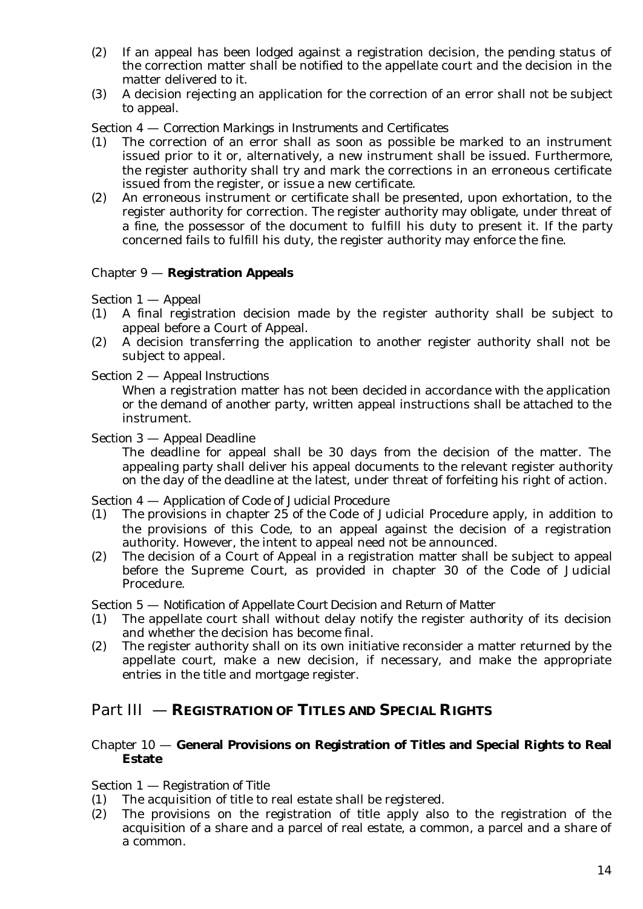- (2) If an appeal has been lodged against a registration decision, the pending status of the correction matter shall be notified to the appellate court and the decision in the matter delivered to it.
- (3) A decision rejecting an application for the correction of an error shall not be subject to appeal.

### Section 4 — *Correction Markings in Instruments and Certificates*

- (1) The correction of an error shall as soon as possible be marked to an instrument issued prior to it or, alternatively, a new instrument shall be issued. Furthermore, the register authority shall try and mark the corrections in an erroneous certificate issued from the register, or issue a new certificate.
- (2) An erroneous instrument or certificate shall be presented, upon exhortation, to the register authority for correction. The register authority may obligate, under threat of a fine, the possessor of the document to fulfill his duty to present it. If the party concerned fails to fulfill his duty, the register authority may enforce the fine.

### Chapter 9 — **Registration Appeals**

Section 1 — *Appeal*

- (1) A final registration decision made by the register authority shall be subject to appeal before a Court of Appeal.
- (2) A decision transferring the application to another register authority shall not be subject to appeal.

### Section 2 — *Appeal Instructions*

When a registration matter has not been decided in accordance with the application or the demand of another party, written appeal instructions shall be attached to the instrument.

#### Section 3 — *Appeal Deadline*

The deadline for appeal shall be 30 days from the decision of the matter. The appealing party shall deliver his appeal documents to the relevant register authority on the day of the deadline at the latest, under threat of forfeiting his right of action.

### Section 4 — *Application of Code of Judicial Procedure*

- (1) The provisions in chapter 25 of the Code of Judicial Procedure apply, in addition to the provisions of this Code, to an appeal against the decision of a registration authority. However, the intent to appeal need not be announced.
- (2) The decision of a Court of Appeal in a registration matter shall be subject to appeal before the Supreme Court, as provided in chapter 30 of the Code of Judicial Procedure.

Section 5 — *Notification of Appellate Court Decision and Return of Matter*

- (1) The appellate court shall without delay notify the register authority of its decision and whether the decision has become final.
- (2) The register authority shall on its own initiative reconsider a matter returned by the appellate court, make a new decision, if necessary, and make the appropriate entries in the title and mortgage register.

## Part III — **REGISTRATION OF TITLES AND SPECIAL RIGHTS**

### Chapter 10 — **General Provisions on Registration of Titles and Special Rights to Real Estate**

### Section 1 — *Registration of Title*

- (1) The acquisition of title to real estate shall be registered.
- (2) The provisions on the registration of title apply also to the registration of the acquisition of a share and a parcel of real estate, a common, a parcel and a share of a common.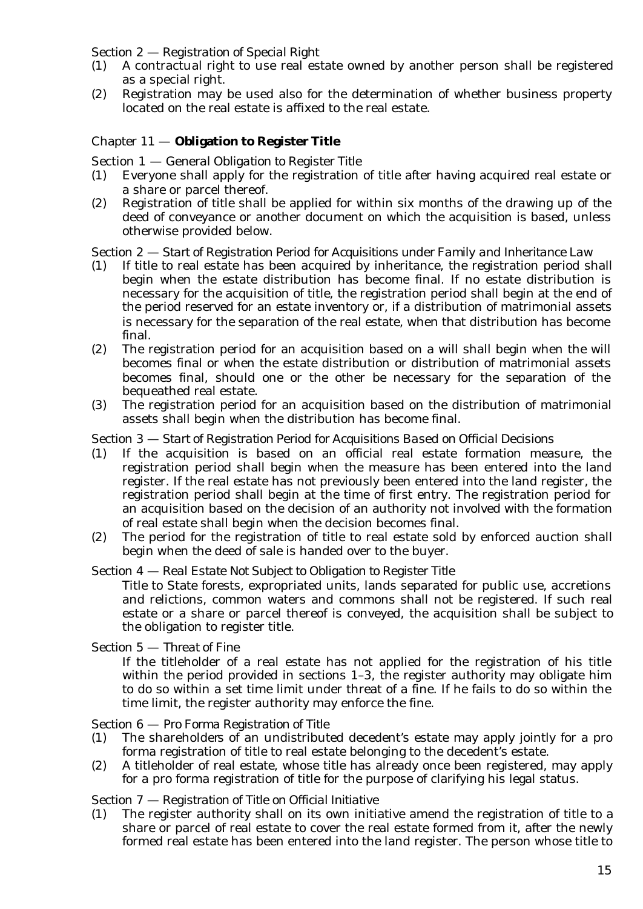### Section 2 — *Registration of Special Right*

- (1) A contractual right to use real estate owned by another person shall be registered as a special right.
- (2) Registration may be used also for the determination of whether business property located on the real estate is affixed to the real estate.

### Chapter 11 — **Obligation to Register Title**

Section 1 — *General Obligation to Register Title*

- (1) Everyone shall apply for the registration of title after having acquired real estate or a share or parcel thereof.
- (2) Registration of title shall be applied for within six months of the drawing up of the deed of conveyance or another document on which the acquisition is based, unless otherwise provided below.

#### Section 2 — *Start of Registration Period for Acquisitions under Family and Inheritance Law*

- (1) If title to real estate has been acquired by inheritance, the registration period shall begin when the estate distribution has become final. If no estate distribution is necessary for the acquisition of title, the registration period shall begin at the end of the period reserved for an estate inventory or, if a distribution of matrimonial assets is necessary for the separation of the real estate, when that distribution has become final.
- (2) The registration period for an acquisition based on a will shall begin when the will becomes final or when the estate distribution or distribution of matrimonial assets becomes final, should one or the other be necessary for the separation of the bequeathed real estate.
- (3) The registration period for an acquisition based on the distribution of matrimonial assets shall begin when the distribution has become final.

#### Section 3 — *Start of Registration Period for Acquisitions Based on Official Decisions*

- (1) If the acquisition is based on an official real estate formation measure, the registration period shall begin when the measure has been entered into the land register. If the real estate has not previously been entered into the land register, the registration period shall begin at the time of first entry. The registration period for an acquisition based on the decision of an authority not involved with the formation of real estate shall begin when the decision becomes final.
- (2) The period for the registration of title to real estate sold by enforced auction shall begin when the deed of sale is handed over to the buyer.

#### Section 4 — *Real Estate Not Subject to Obligation to Register Title*

Title to State forests, expropriated units, lands separated for public use, accretions and relictions, common waters and commons shall not be registered. If such real estate or a share or parcel thereof is conveyed, the acquisition shall be subject to the obligation to register title.

Section 5 — *Threat of Fine*

If the titleholder of a real estate has not applied for the registration of his title within the period provided in sections 1–3, the register authority may obligate him to do so within a set time limit under threat of a fine. If he fails to do so within the time limit, the register authority may enforce the fine.

#### Section 6 — *Pro Forma Registration of Title*

- (1) The shareholders of an undistributed decedent's estate may apply jointly for a pro forma registration of title to real estate belonging to the decedent's estate.
- (2) A titleholder of real estate, whose title has already once been registered, may apply for a pro forma registration of title for the purpose of clarifying his legal status.

#### Section 7 — *Registration of Title on Official Initiative*

(1) The register authority shall on its own initiative amend the registration of title to a share or parcel of real estate to cover the real estate formed from it, after the newly formed real estate has been entered into the land register. The person whose title to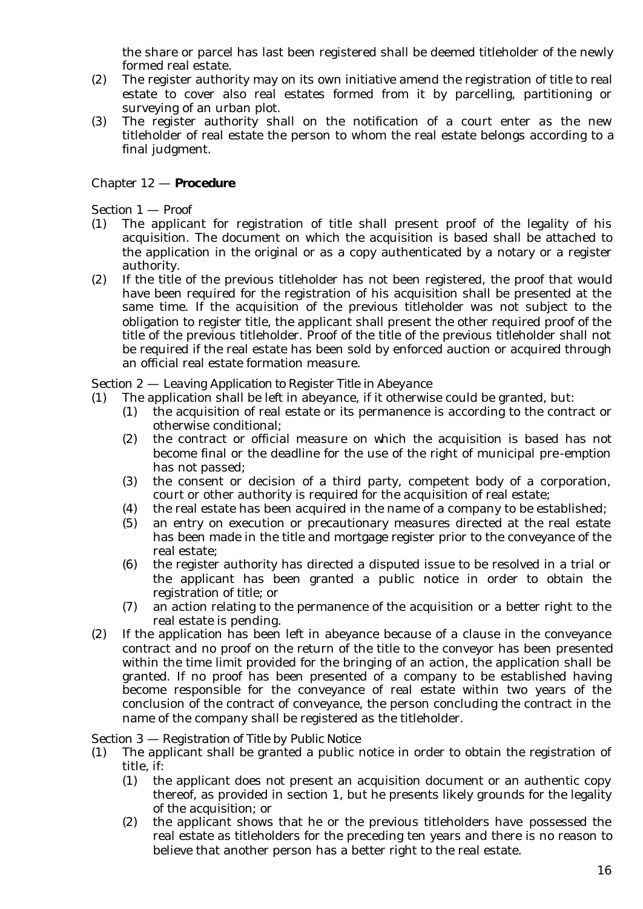the share or parcel has last been registered shall be deemed titleholder of the newly formed real estate.

- (2) The register authority may on its own initiative amend the registration of title to real estate to cover also real estates formed from it by parcelling, partitioning or surveying of an urban plot.
- (3) The register authority shall on the notification of a court enter as the new titleholder of real estate the person to whom the real estate belongs according to a final judgment.

### Chapter 12 — **Procedure**

Section 1 — *Proof*

- (1) The applicant for registration of title shall present proof of the legality of his acquisition. The document on which the acquisition is based shall be attached to the application in the original or as a copy authenticated by a notary or a register authority.
- (2) If the title of the previous titleholder has not been registered, the proof that would have been required for the registration of his acquisition shall be presented at the same time. If the acquisition of the previous titleholder was not subject to the obligation to register title, the applicant shall present the other required proof of the title of the previous titleholder. Proof of the title of the previous titleholder shall not be required if the real estate has been sold by enforced auction or acquired through an official real estate formation measure.

#### Section 2 — *Leaving Application to Register Title in Abeyance*

- (1) The application shall be left in abeyance, if it otherwise could be granted, but:
	- (1) the acquisition of real estate or its permanence is according to the contract or otherwise conditional;
	- (2) the contract or official measure on which the acquisition is based has not become final or the deadline for the use of the right of municipal pre-emption has not passed;
	- (3) the consent or decision of a third party, competent body of a corporation, court or other authority is required for the acquisition of real estate;
	- (4) the real estate has been acquired in the name of a company to be established;
	- (5) an entry on execution or precautionary measures directed at the real estate has been made in the title and mortgage register prior to the conveyance of the real estate;
	- (6) the register authority has directed a disputed issue to be resolved in a trial or the applicant has been granted a public notice in order to obtain the registration of title; or
	- (7) an action relating to the permanence of the acquisition or a better right to the real estate is pending.
- (2) If the application has been left in abeyance because of a clause in the conveyance contract and no proof on the return of the title to the conveyor has been presented within the time limit provided for the bringing of an action, the application shall be granted. If no proof has been presented of a company to be established having become responsible for the conveyance of real estate within two years of the conclusion of the contract of conveyance, the person concluding the contract in the name of the company shall be registered as the titleholder.

#### Section 3 — *Registration of Title by Public Notice*

- (1) The applicant shall be granted a public notice in order to obtain the registration of title, if:
	- (1) the applicant does not present an acquisition document or an authentic copy thereof, as provided in section 1, but he presents likely grounds for the legality of the acquisition; or
	- (2) the applicant shows that he or the previous titleholders have possessed the real estate as titleholders for the preceding ten years and there is no reason to believe that another person has a better right to the real estate.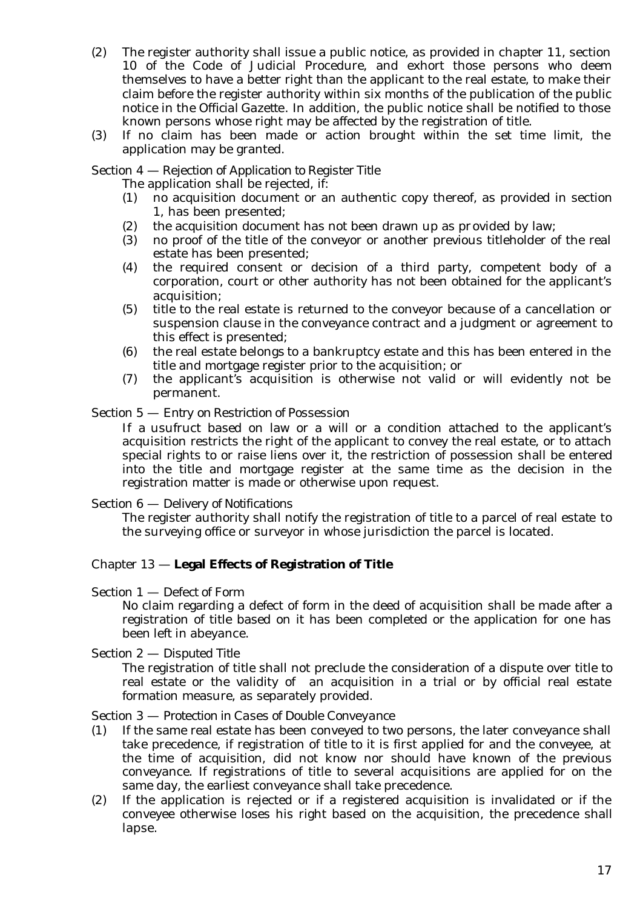- (2) The register authority shall issue a public notice, as provided in chapter 11, section 10 of the Code of Judicial Procedure, and exhort those persons who deem themselves to have a better right than the applicant to the real estate, to make their claim before the register authority within six months of the publication of the public notice in the *Official Gazette*. In addition, the public notice shall be notified to those known persons whose right may be affected by the registration of title.
- (3) If no claim has been made or action brought within the set time limit, the application may be granted.

Section 4 — *Rejection of Application to Register Title*

The application shall be rejected, if:

- (1) no acquisition document or an authentic copy thereof, as provided in section 1, has been presented;
- (2) the acquisition document has not been drawn up as provided by law;
- (3) no proof of the title of the conveyor or another previous titleholder of the real estate has been presented;
- (4) the required consent or decision of a third party, competent body of a corporation, court or other authority has not been obtained for the applicant's acquisition;
- (5) title to the real estate is returned to the conveyor because of a cancellation or suspension clause in the conveyance contract and a judgment or agreement to this effect is presented;
- (6) the real estate belongs to a bankruptcy estate and this has been entered in the title and mortgage register prior to the acquisition; or
- (7) the applicant's acquisition is otherwise not valid or will evidently not be permanent.

Section 5 — *Entry on Restriction of Possession*

If a usufruct based on law or a will or a condition attached to the applicant's acquisition restricts the right of the applicant to convey the real estate, or to attach special rights to or raise liens over it, the restriction of possession shall be entered into the title and mortgage register at the same time as the decision in the registration matter is made or otherwise upon request.

#### Section 6 — *Delivery of Notifications*

The register authority shall notify the registration of title to a parcel of real estate to the surveying office or surveyor in whose jurisdiction the parcel is located.

### Chapter 13 — **Legal Effects of Registration of Title**

#### Section 1 — *Defect of Form*

No claim regarding a defect of form in the deed of acquisition shall be made after a registration of title based on it has been completed or the application for one has been left in abeyance.

Section 2 — *Disputed Title*

The registration of title shall not preclude the consideration of a dispute over title to real estate or the validity of an acquisition in a trial or by official real estate formation measure, as separately provided.

Section 3 — *Protection in Cases of Double Conveyance*

- (1) If the same real estate has been conveyed to two persons, the later conveyance shall take precedence, if registration of title to it is first applied for and the conveyee, at the time of acquisition, did not know nor should have known of the previous conveyance. If registrations of title to several acquisitions are applied for on the same day, the earliest conveyance shall take precedence.
- (2) If the application is rejected or if a registered acquisition is invalidated or if the conveyee otherwise loses his right based on the acquisition, the precedence shall lapse.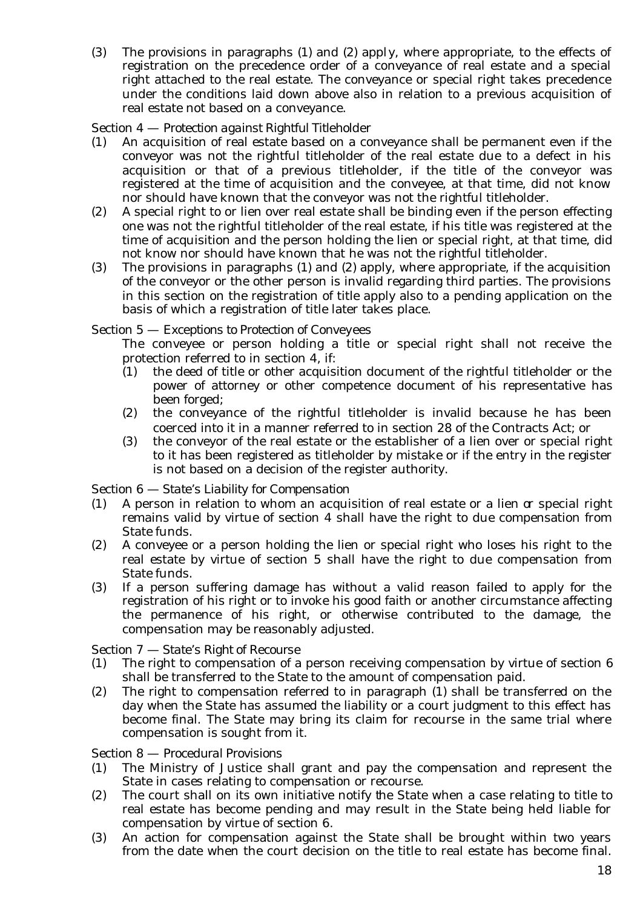(3) The provisions in paragraphs (1) and (2) apply, where appropriate, to the effects of registration on the precedence order of a conveyance of real estate and a special right attached to the real estate. The conveyance or special right takes precedence under the conditions laid down above also in relation to a previous acquisition of real estate not based on a conveyance.

### Section 4 — *Protection against Rightful Titleholder*

- (1) An acquisition of real estate based on a conveyance shall be permanent even if the conveyor was not the rightful titleholder of the real estate due to a defect in his acquisition or that of a previous titleholder, if the title of the conveyor was registered at the time of acquisition and the conveyee, at that time, did not know nor should have known that the conveyor was not the rightful titleholder.
- (2) A special right to or lien over real estate shall be binding even if the person effecting one was not the rightful titleholder of the real estate, if his title was registered at the time of acquisition and the person holding the lien or special right, at that time, did not know nor should have known that he was not the rightful titleholder.
- (3) The provisions in paragraphs (1) and (2) apply, where appropriate, if the acquisition of the conveyor or the other person is invalid regarding third parties. The provisions in this section on the registration of title apply also to a pending application on the basis of which a registration of title later takes place.

### Section 5 — *Exceptions to Protection of Conveyees*

The conveyee or person holding a title or special right shall not receive the protection referred to in section 4, if:

- (1) the deed of title or other acquisition document of the rightful titleholder or the power of attorney or other competence document of his representative has been forged;
- (2) the conveyance of the rightful titleholder is invalid because he has been coerced into it in a manner referred to in section 28 of the Contracts Act; or
- (3) the conveyor of the real estate or the establisher of a lien over or special right to it has been registered as titleholder by mistake or if the entry in the register is not based on a decision of the register authority.

### Section 6 — *State's Liability for Compensation*

- (1) A person in relation to whom an acquisition of real estate or a lien or special right remains valid by virtue of section 4 shall have the right to due compensation from State funds.
- (2) A conveyee or a person holding the lien or special right who loses his right to the real estate by virtue of section 5 shall have the right to due compensation from State funds.
- (3) If a person suffering damage has without a valid reason failed to apply for the registration of his right or to invoke his good faith or another circumstance affecting the permanence of his right, or otherwise contributed to the damage, the compensation may be reasonably adjusted.

### Section 7 — *State's Right of Recourse*

- (1) The right to compensation of a person receiving compensation by virtue of section 6 shall be transferred to the State to the amount of compensation paid.
- (2) The right to compensation referred to in paragraph (1) shall be transferred on the day when the State has assumed the liability or a court judgment to this effect has become final. The State may bring its claim for recourse in the same trial where compensation is sought from it.

### Section 8 — *Procedural Provisions*

- (1) The Ministry of Justice shall grant and pay the compensation and represent the State in cases relating to compensation or recourse.
- (2) The court shall on its own initiative notify the State when a case relating to title to real estate has become pending and may result in the State being held liable for compensation by virtue of section 6.
- (3) An action for compensation against the State shall be brought within two years from the date when the court decision on the title to real estate has become final.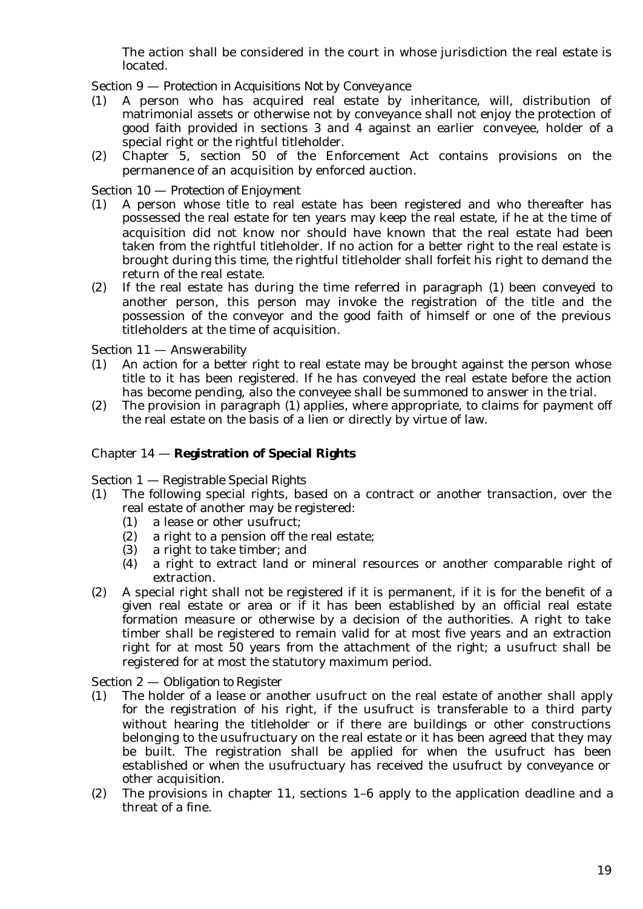The action shall be considered in the court in whose jurisdiction the real estate is located.

Section 9 — *Protection in Acquisitions Not by Conveyance*

- (1) A person who has acquired real estate by inheritance, will, distribution of matrimonial assets or otherwise not by conveyance shall not enjoy the protection of good faith provided in sections 3 and 4 against an earlier conveyee, holder of a special right or the rightful titleholder.
- (2) Chapter 5, section 50 of the Enforcement Act contains provisions on the permanence of an acquisition by enforced auction.

### Section 10 — *Protection of Enjoyment*

- (1) A person whose title to real estate has been registered and who thereafter has possessed the real estate for ten years may keep the real estate, if he at the time of acquisition did not know nor should have known that the real estate had been taken from the rightful titleholder. If no action for a better right to the real estate is brought during this time, the rightful titleholder shall forfeit his right to demand the return of the real estate.
- (2) If the real estate has during the time referred in paragraph (1) been conveyed to another person, this person may invoke the registration of the title and the possession of the conveyor and the good faith of himself or one of the previous titleholders at the time of acquisition.

Section 11 — *Answerability*

- (1) An action for a better right to real estate may be brought against the person whose title to it has been registered. If he has conveyed the real estate before the action has become pending, also the conveyee shall be summoned to answer in the trial.
- (2) The provision in paragraph (1) applies, where appropriate, to claims for payment off the real estate on the basis of a lien or directly by virtue of law.

#### Chapter 14 — **Registration of Special Rights**

Section 1 — *Registrable Special Rights*

- (1) The following special rights, based on a contract or another transaction, over the real estate of another may be registered:
	- (1) a lease or other usufruct;
	- (2) a right to a pension off the real estate;
	- (3) a right to take timber; and
	- (4) a right to extract land or mineral resources or another comparable right of extraction.
- (2) A special right shall not be registered if it is permanent, if it is for the benefit of a given real estate or area or if it has been established by an official real estate formation measure or otherwise by a decision of the authorities. A right to take timber shall be registered to remain valid for at most five years and an extraction right for at most 50 years from the attachment of the right; a usufruct shall be registered for at most the statutory maximum period.

Section 2 — *Obligation to Register*

- (1) The holder of a lease or another usufruct on the real estate of another shall apply for the registration of his right, if the usufruct is transferable to a third party without hearing the titleholder or if there are buildings or other constructions belonging to the usufructuary on the real estate or it has been agreed that they may be built. The registration shall be applied for when the usufruct has been established or when the usufructuary has received the usufruct by conveyance or other acquisition.
- (2) The provisions in chapter 11, sections 1–6 apply to the application deadline and a threat of a fine.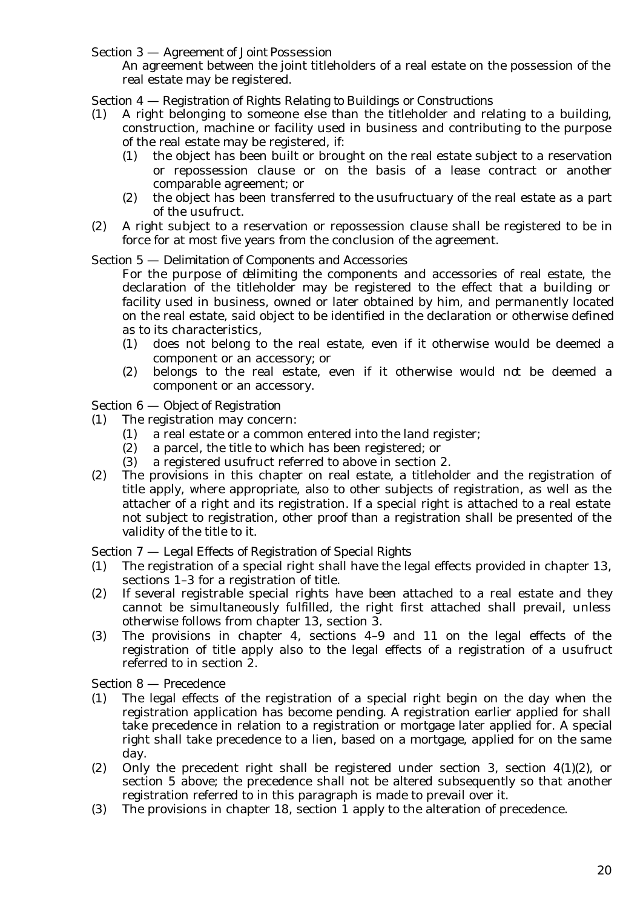Section 3 — *Agreement of Joint Possession*

An agreement between the joint titleholders of a real estate on the possession of the real estate may be registered.

### Section 4 — *Registration of Rights Relating to Buildings or Constructions*

- (1) A right belonging to someone else than the titleholder and relating to a building, construction, machine or facility used in business and contributing to the purpose of the real estate may be registered, if:
	- (1) the object has been built or brought on the real estate subject to a reservation or repossession clause or on the basis of a lease contract or another comparable agreement; or
	- (2) the object has been transferred to the usufructuary of the real estate as a part of the usufruct.
- (2) A right subject to a reservation or repossession clause shall be registered to be in force for at most five years from the conclusion of the agreement.

#### Section 5 — *Delimitation of Components and Accessories*

For the purpose of delimiting the components and accessories of real estate, the declaration of the titleholder may be registered to the effect that a building or facility used in business, owned or later obtained by him, and permanently located on the real estate, said object to be identified in the declaration or otherwise defined as to its characteristics,

- (1) does not belong to the real estate, even if it otherwise would be deemed a component or an accessory; or
- (2) belongs to the real estate, even if it otherwise would not be deemed a component or an accessory.

#### Section 6 — *Object of Registration*

- (1) The registration may concern:
	- (1) a real estate or a common entered into the land register;
	- (2) a parcel, the title to which has been registered; or
	- (3) a registered usufruct referred to above in section 2.
- (2) The provisions in this chapter on real estate, a titleholder and the registration of title apply, where appropriate, also to other subjects of registration, as well as the attacher of a right and its registration. If a special right is attached to a real estate not subject to registration, other proof than a registration shall be presented of the validity of the title to it.

#### Section 7 — *Legal Effects of Registration of Special Rights*

- (1) The registration of a special right shall have the legal effects provided in chapter 13, sections 1–3 for a registration of title.
- (2) If several registrable special rights have been attached to a real estate and they cannot be simultaneously fulfilled, the right first attached shall prevail, unless otherwise follows from chapter 13, section 3.
- (3) The provisions in chapter 4, sections 4–9 and 11 on the legal effects of the registration of title apply also to the legal effects of a registration of a usufruct referred to in section 2.

#### Section 8 — *Precedence*

- (1) The legal effects of the registration of a special right begin on the day when the registration application has become pending. A registration earlier applied for shall take precedence in relation to a registration or mortgage later applied for. A special right shall take precedence to a lien, based on a mortgage, applied for on the same day.
- (2) Only the precedent right shall be registered under section 3, section 4(1)(2), or section 5 above; the precedence shall not be altered subsequently so that another registration referred to in this paragraph is made to prevail over it.
- (3) The provisions in chapter 18, section 1 apply to the alteration of precedence.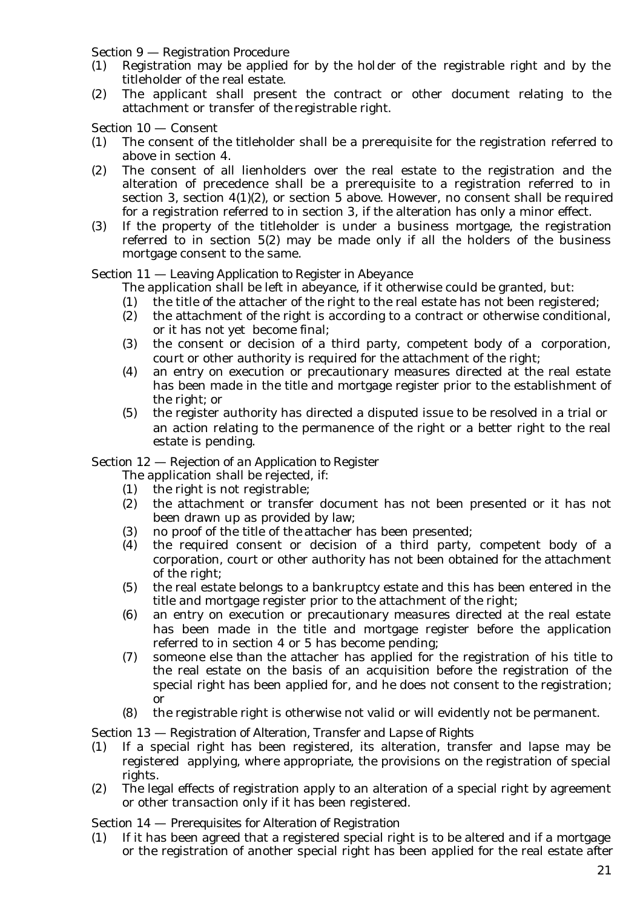Section 9 — *Registration Procedure*

- (1) Registration may be applied for by the holder of the registrable right and by the titleholder of the real estate.
- (2) The applicant shall present the contract or other document relating to the attachment or transfer of the registrable right.

Section 10 — *Consent*

- (1) The consent of the titleholder shall be a prerequisite for the registration referred to above in section 4.
- (2) The consent of all lienholders over the real estate to the registration and the alteration of precedence shall be a prerequisite to a registration referred to in section 3, section 4(1)(2), or section 5 above. However, no consent shall be required for a registration referred to in section 3, if the alteration has only a minor effect.
- (3) If the property of the titleholder is under a business mortgage, the registration referred to in section 5(2) may be made only if all the holders of the business mortgage consent to the same.

#### Section 11 — *Leaving Application to Register in Abeyance*

The application shall be left in abeyance, if it otherwise could be granted, but:

- (1) the title of the attacher of the right to the real estate has not been registered;
- (2) the attachment of the right is according to a contract or otherwise conditional, or it has not yet become final;
- (3) the consent or decision of a third party, competent body of a corporation, court or other authority is required for the attachment of the right;
- (4) an entry on execution or precautionary measures directed at the real estate has been made in the title and mortgage register prior to the establishment of the right; or
- (5) the register authority has directed a disputed issue to be resolved in a trial or an action relating to the permanence of the right or a better right to the real estate is pending.

### Section 12 — *Rejection of an Application to Register*

The application shall be rejected, if:

- (1) the right is not registrable;
- (2) the attachment or transfer document has not been presented or it has not been drawn up as provided by law;
- (3) no proof of the title of the attacher has been presented;
- (4) the required consent or decision of a third party, competent body of a corporation, court or other authority has not been obtained for the attachment of the right;
- (5) the real estate belongs to a bankruptcy estate and this has been entered in the title and mortgage register prior to the attachment of the right;
- (6) an entry on execution or precautionary measures directed at the real estate has been made in the title and mortgage register before the application referred to in section 4 or 5 has become pending;
- (7) someone else than the attacher has applied for the registration of his title to the real estate on the basis of an acquisition before the registration of the special right has been applied for, and he does not consent to the registration; or
- (8) the registrable right is otherwise not valid or will evidently not be permanent.

### Section 13 — *Registration of Alteration, Transfer and Lapse of Rights*

- (1) If a special right has been registered, its alteration, transfer and lapse may be registered applying, where appropriate, the provisions on the registration of special rights.
- (2) The legal effects of registration apply to an alteration of a special right by agreement or other transaction only if it has been registered.

#### Section 14 — *Prerequisites for Alteration of Registration*

(1) If it has been agreed that a registered special right is to be altered and if a mortgage or the registration of another special right has been applied for the real estate after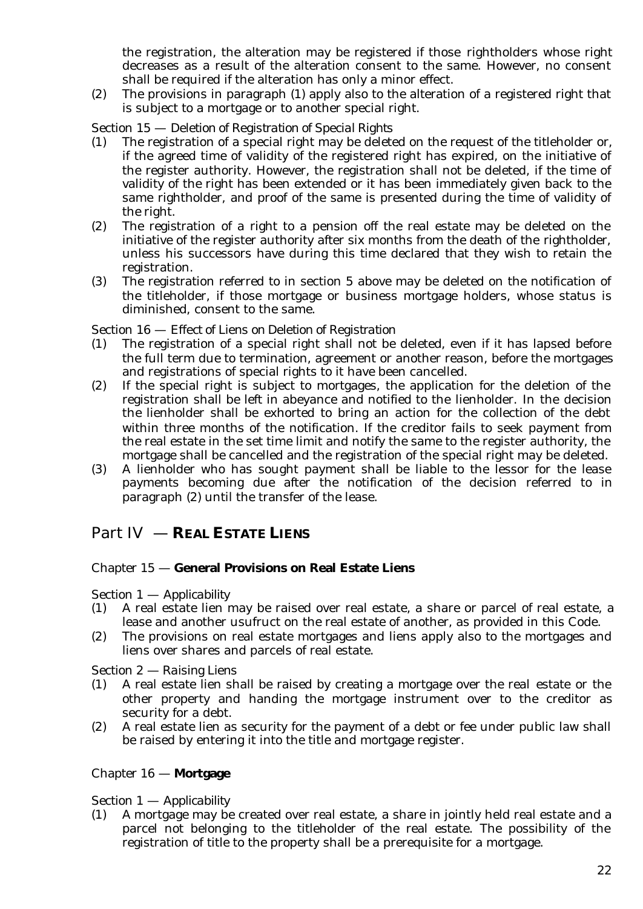the registration, the alteration may be registered if those rightholders whose right decreases as a result of the alteration consent to the same. However, no consent shall be required if the alteration has only a minor effect.

(2) The provisions in paragraph (1) apply also to the alteration of a registered right that is subject to a mortgage or to another special right.

### Section 15 — *Deletion of Registration of Special Rights*

- (1) The registration of a special right may be deleted on the request of the titleholder or, if the agreed time of validity of the registered right has expired, on the initiative of the register authority. However, the registration shall not be deleted, if the time of validity of the right has been extended or it has been immediately given back to the same rightholder, and proof of the same is presented during the time of validity of the right.
- (2) The registration of a right to a pension off the real estate may be deleted on the initiative of the register authority after six months from the death of the rightholder, unless his successors have during this time declared that they wish to retain the registration.
- (3) The registration referred to in section 5 above may be deleted on the notification of the titleholder, if those mortgage or business mortgage holders, whose status is diminished, consent to the same.

### Section 16 — *Effect of Liens on Deletion of Registration*

- (1) The registration of a special right shall not be deleted, even if it has lapsed before the full term due to termination, agreement or another reason, before the mortgages and registrations of special rights to it have been cancelled.
- (2) If the special right is subject to mortgages, the application for the deletion of the registration shall be left in abeyance and notified to the lienholder. In the decision the lienholder shall be exhorted to bring an action for the collection of the debt within three months of the notification. If the creditor fails to seek payment from the real estate in the set time limit and notify the same to the register authority, the mortgage shall be cancelled and the registration of the special right may be deleted.
- (3) A lienholder who has sought payment shall be liable to the lessor for the lease payments becoming due after the notification of the decision referred to in paragraph (2) until the transfer of the lease.

# Part IV — **REAL ESTATE LIENS**

### Chapter 15 — **General Provisions on Real Estate Liens**

### Section 1 — *Applicability*

- (1) A real estate lien may be raised over real estate, a share or parcel of real estate, a lease and another usufruct on the real estate of another, as provided in this Code.
- (2) The provisions on real estate mortgages and liens apply also to the mortgages and liens over shares and parcels of real estate.

Section 2 — *Raising Liens*

- (1) A real estate lien shall be raised by creating a mortgage over the real estate or the other property and handing the mortgage instrument over to the creditor as security for a debt.
- (2) A real estate lien as security for the payment of a debt or fee under public law shall be raised by entering it into the title and mortgage register.

### Chapter 16 — **Mortgage**

### Section 1 — *Applicability*

(1) A mortgage may be created over real estate, a share in jointly held real estate and a parcel not belonging to the titleholder of the real estate. The possibility of the registration of title to the property shall be a prerequisite for a mortgage.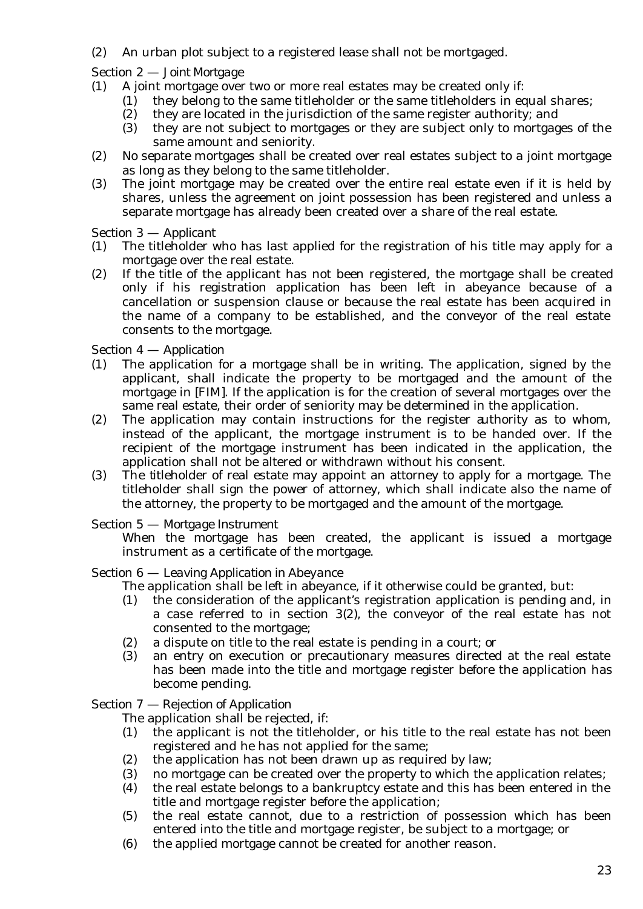(2) An urban plot subject to a registered lease shall not be mortgaged.

### Section 2 — *Joint Mortgage*

- (1) A joint mortgage over two or more real estates may be created only if:
	- (1) they belong to the same titleholder or the same titleholders in equal shares;
	- (2) they are located in the jurisdiction of the same register authority; and
	- (3) they are not subject to mortgages or they are subject only to mortgages of the same amount and seniority.
- (2) No separate mortgages shall be created over real estates subject to a joint mortgage as long as they belong to the same titleholder.
- (3) The joint mortgage may be created over the entire real estate even if it is held by shares, unless the agreement on joint possession has been registered and unless a separate mortgage has already been created over a share of the real estate.

### Section 3 — *Applicant*

- (1) The titleholder who has last applied for the registration of his title may apply for a mortgage over the real estate.
- (2) If the title of the applicant has not been registered, the mortgage shall be created only if his registration application has been left in abeyance because of a cancellation or suspension clause or because the real estate has been acquired in the name of a company to be established, and the conveyor of the real estate consents to the mortgage.

### Section 4 — *Application*

- (1) The application for a mortgage shall be in writing. The application, signed by the applicant, shall indicate the property to be mortgaged and the amount of the mortgage in [FIM]. If the application is for the creation of several mortgages over the same real estate, their order of seniority may be determined in the application.
- (2) The application may contain instructions for the register authority as to whom, instead of the applicant, the mortgage instrument is to be handed over. If the recipient of the mortgage instrument has been indicated in the application, the application shall not be altered or withdrawn without his consent.
- (3) The titleholder of real estate may appoint an attorney to apply for a mortgage. The titleholder shall sign the power of attorney, which shall indicate also the name of the attorney, the property to be mortgaged and the amount of the mortgage.

### Section 5 — *Mortgage Instrument*

When the mortgage has been created, the applicant is issued a mortgage instrument as a certificate of the mortgage.

### Section 6 — *Leaving Application in Abeyance*

- The application shall be left in abeyance, if it otherwise could be granted, but:
- (1) the consideration of the applicant's registration application is pending and, in a case referred to in section 3(2), the conveyor of the real estate has not consented to the mortgage;
- (2) a dispute on title to the real estate is pending in a court; or
- (3) an entry on execution or precautionary measures directed at the real estate has been made into the title and mortgage register before the application has become pending.

### Section 7 — *Rejection of Application*

The application shall be rejected, if:

- $(1)$  the applicant is not the titleholder, or his title to the real estate has not been registered and he has not applied for the same;
- (2) the application has not been drawn up as required by law;
- (3) no mortgage can be created over the property to which the application relates;
- (4) the real estate belongs to a bankruptcy estate and this has been entered in the title and mortgage register before the application;
- (5) the real estate cannot, due to a restriction of possession which has been entered into the title and mortgage register, be subject to a mortgage; or
- (6) the applied mortgage cannot be created for another reason.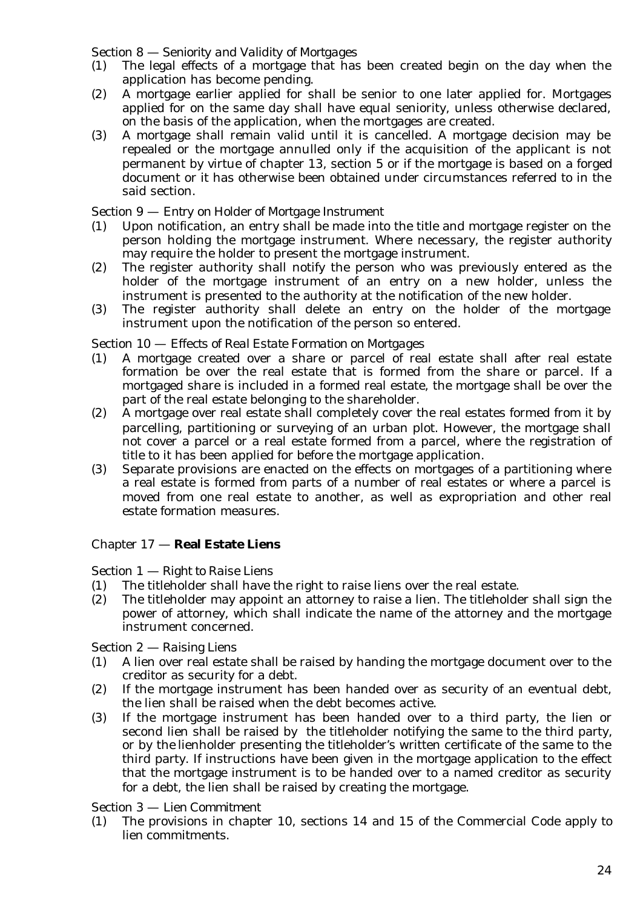Section 8 — *Seniority and Validity of Mortgages*

- (1) The legal effects of a mortgage that has been created begin on the day when the application has become pending.
- (2) A mortgage earlier applied for shall be senior to one later applied for. Mortgages applied for on the same day shall have equal seniority, unless otherwise declared, on the basis of the application, when the mortgages are created.
- (3) A mortgage shall remain valid until it is cancelled. A mortgage decision may be repealed or the mortgage annulled only if the acquisition of the applicant is not permanent by virtue of chapter 13, section 5 or if the mortgage is based on a forged document or it has otherwise been obtained under circumstances referred to in the said section.

### Section 9 — *Entry on Holder of Mortgage Instrument*

- (1) Upon notification, an entry shall be made into the title and mortgage register on the person holding the mortgage instrument. Where necessary, the register authority may require the holder to present the mortgage instrument.
- (2) The register authority shall notify the person who was previously entered as the holder of the mortgage instrument of an entry on a new holder, unless the instrument is presented to the authority at the notification of the new holder.
- (3) The register authority shall delete an entry on the holder of the mortgage instrument upon the notification of the person so entered.

### Section 10 — *Effects of Real Estate Formation on Mortgages*

- (1) A mortgage created over a share or parcel of real estate shall after real estate formation be over the real estate that is formed from the share or parcel. If a mortgaged share is included in a formed real estate, the mortgage shall be over the part of the real estate belonging to the shareholder.
- (2) A mortgage over real estate shall completely cover the real estates formed from it by parcelling, partitioning or surveying of an urban plot. However, the mortgage shall not cover a parcel or a real estate formed from a parcel, where the registration of title to it has been applied for before the mortgage application.
- (3) Separate provisions are enacted on the effects on mortgages of a partitioning where a real estate is formed from parts of a number of real estates or where a parcel is moved from one real estate to another, as well as expropriation and other real estate formation measures.

### Chapter 17 — **Real Estate Liens**

### Section 1 — *Right to Raise Liens*

- (1) The titleholder shall have the right to raise liens over the real estate.
- (2) The titleholder may appoint an attorney to raise a lien. The titleholder shall sign the power of attorney, which shall indicate the name of the attorney and the mortgage instrument concerned.

### Section 2 — *Raising Liens*

- (1) A lien over real estate shall be raised by handing the mortgage document over to the creditor as security for a debt.
- (2) If the mortgage instrument has been handed over as security of an eventual debt, the lien shall be raised when the debt becomes active.
- (3) If the mortgage instrument has been handed over to a third party, the lien or second lien shall be raised by the titleholder notifying the same to the third party, or by the lienholder presenting the titleholder's written certificate of the same to the third party. If instructions have been given in the mortgage application to the effect that the mortgage instrument is to be handed over to a named creditor as security for a debt, the lien shall be raised by creating the mortgage.

### Section 3 — *Lien Commitment*

(1) The provisions in chapter 10, sections 14 and 15 of the Commercial Code apply to lien commitments.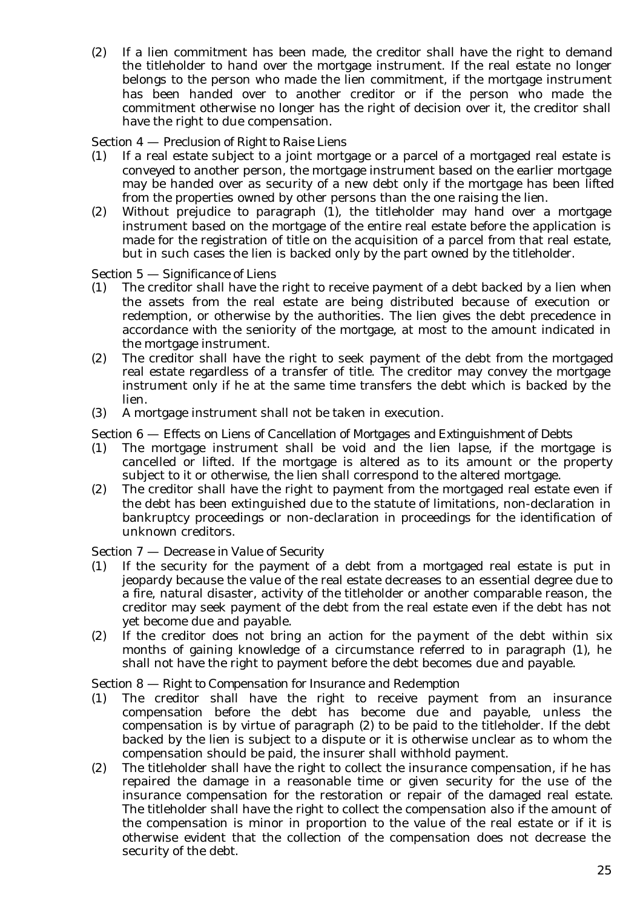(2) If a lien commitment has been made, the creditor shall have the right to demand the titleholder to hand over the mortgage instrument. If the real estate no longer belongs to the person who made the lien commitment, if the mortgage instrument has been handed over to another creditor or if the person who made the commitment otherwise no longer has the right of decision over it, the creditor shall have the right to due compensation.

### Section 4 — *Preclusion of Right to Raise Liens*

- (1) If a real estate subject to a joint mortgage or a parcel of a mortgaged real estate is conveyed to another person, the mortgage instrument based on the earlier mortgage may be handed over as security of a new debt only if the mortgage has been lifted from the properties owned by other persons than the one raising the lien.
- (2) Without prejudice to paragraph (1), the titleholder may hand over a mortgage instrument based on the mortgage of the entire real estate before the application is made for the registration of title on the acquisition of a parcel from that real estate, but in such cases the lien is backed only by the part owned by the titleholder.

### Section 5 — *Significance of Liens*

- (1) The creditor shall have the right to receive payment of a debt backed by a lien when the assets from the real estate are being distributed because of execution or redemption, or otherwise by the authorities. The lien gives the debt precedence in accordance with the seniority of the mortgage, at most to the amount indicated in the mortgage instrument.
- (2) The creditor shall have the right to seek payment of the debt from the mortgaged real estate regardless of a transfer of title. The creditor may convey the mortgage instrument only if he at the same time transfers the debt which is backed by the lien.
- (3) A mortgage instrument shall not be taken in execution.

### Section 6 — *Effects on Liens of Cancellation of Mortgages and Extinguishment of Debts*

- (1) The mortgage instrument shall be void and the lien lapse, if the mortgage is cancelled or lifted. If the mortgage is altered as to its amount or the property subject to it or otherwise, the lien shall correspond to the altered mortgage.
- (2) The creditor shall have the right to payment from the mortgaged real estate even if the debt has been extinguished due to the statute of limitations, non-declaration in bankruptcy proceedings or non-declaration in proceedings for the identification of unknown creditors.

### Section 7 — *Decrease in Value of Security*

- (1) If the security for the payment of a debt from a mortgaged real estate is put in jeopardy because the value of the real estate decreases to an essential degree due to a fire, natural disaster, activity of the titleholder or another comparable reason, the creditor may seek payment of the debt from the real estate even if the debt has not yet become due and payable.
- (2) If the creditor does not bring an action for the payment of the debt within six months of gaining knowledge of a circumstance referred to in paragraph (1), he shall not have the right to payment before the debt becomes due and payable.

### Section 8 — *Right to Compensation for Insurance and Redemption*

- (1) The creditor shall have the right to receive payment from an insurance compensation before the debt has become due and payable, unless the compensation is by virtue of paragraph (2) to be paid to the titleholder. If the debt backed by the lien is subject to a dispute or it is otherwise unclear as to whom the compensation should be paid, the insurer shall withhold payment.
- (2) The titleholder shall have the right to collect the insurance compensation, if he has repaired the damage in a reasonable time or given security for the use of the insurance compensation for the restoration or repair of the damaged real estate. The titleholder shall have the right to collect the compensation also if the amount of the compensation is minor in proportion to the value of the real estate or if it is otherwise evident that the collection of the compensation does not decrease the security of the debt.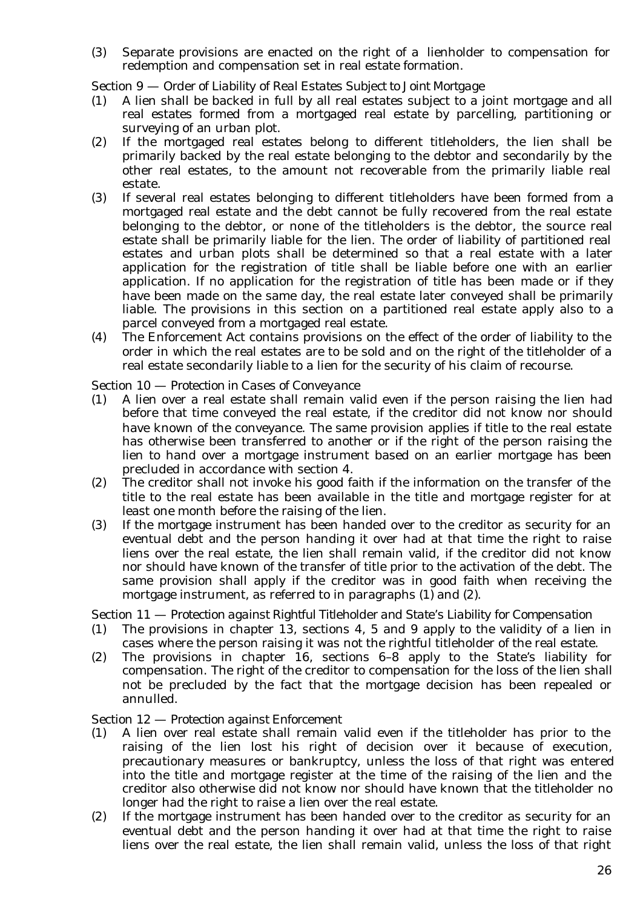(3) Separate provisions are enacted on the right of a lienholder to compensation for redemption and compensation set in real estate formation.

Section 9 — *Order of Liability of Real Estates Subject to Joint Mortgage*

- (1) A lien shall be backed in full by all real estates subject to a joint mortgage and all real estates formed from a mortgaged real estate by parcelling, partitioning or surveying of an urban plot.
- (2) If the mortgaged real estates belong to different titleholders, the lien shall be primarily backed by the real estate belonging to the debtor and secondarily by the other real estates, to the amount not recoverable from the primarily liable real estate.
- (3) If several real estates belonging to different titleholders have been formed from a mortgaged real estate and the debt cannot be fully recovered from the real estate belonging to the debtor, or none of the titleholders is the debtor, the source real estate shall be primarily liable for the lien. The order of liability of partitioned real estates and urban plots shall be determined so that a real estate with a later application for the registration of title shall be liable before one with an earlier application. If no application for the registration of title has been made or if they have been made on the same day, the real estate later conveyed shall be primarily liable. The provisions in this section on a partitioned real estate apply also to a parcel conveyed from a mortgaged real estate.
- (4) The Enforcement Act contains provisions on the effect of the order of liability to the order in which the real estates are to be sold and on the right of the titleholder of a real estate secondarily liable to a lien for the security of his claim of recourse.

Section 10 — *Protection in Cases of Conveyance*

- (1) A lien over a real estate shall remain valid even if the person raising the lien had before that time conveyed the real estate, if the creditor did not know nor should have known of the conveyance. The same provision applies if title to the real estate has otherwise been transferred to another or if the right of the person raising the lien to hand over a mortgage instrument based on an earlier mortgage has been precluded in accordance with section 4.
- (2) The creditor shall not invoke his good faith if the information on the transfer of the title to the real estate has been available in the title and mortgage register for at least one month before the raising of the lien.
- (3) If the mortgage instrument has been handed over to the creditor as security for an eventual debt and the person handing it over had at that time the right to raise liens over the real estate, the lien shall remain valid, if the creditor did not know nor should have known of the transfer of title prior to the activation of the debt. The same provision shall apply if the creditor was in good faith when receiving the mortgage instrument, as referred to in paragraphs (1) and (2).

Section 11 — *Protection against Rightful Titleholder and State's Liability for Compensation*

- (1) The provisions in chapter 13, sections 4, 5 and 9 apply to the validity of a lien in cases where the person raising it was not the rightful titleholder of the real estate.
- (2) The provisions in chapter 16, sections 6–8 apply to the State's liability for compensation. The right of the creditor to compensation for the loss of the lien shall not be precluded by the fact that the mortgage decision has been repealed or annulled.

Section 12 — *Protection against Enforcement*

- (1) A lien over real estate shall remain valid even if the titleholder has prior to the raising of the lien lost his right of decision over it because of execution, precautionary measures or bankruptcy, unless the loss of that right was entered into the title and mortgage register at the time of the raising of the lien and the creditor also otherwise did not know nor should have known that the titleholder no longer had the right to raise a lien over the real estate.
- (2) If the mortgage instrument has been handed over to the creditor as security for an eventual debt and the person handing it over had at that time the right to raise liens over the real estate, the lien shall remain valid, unless the loss of that right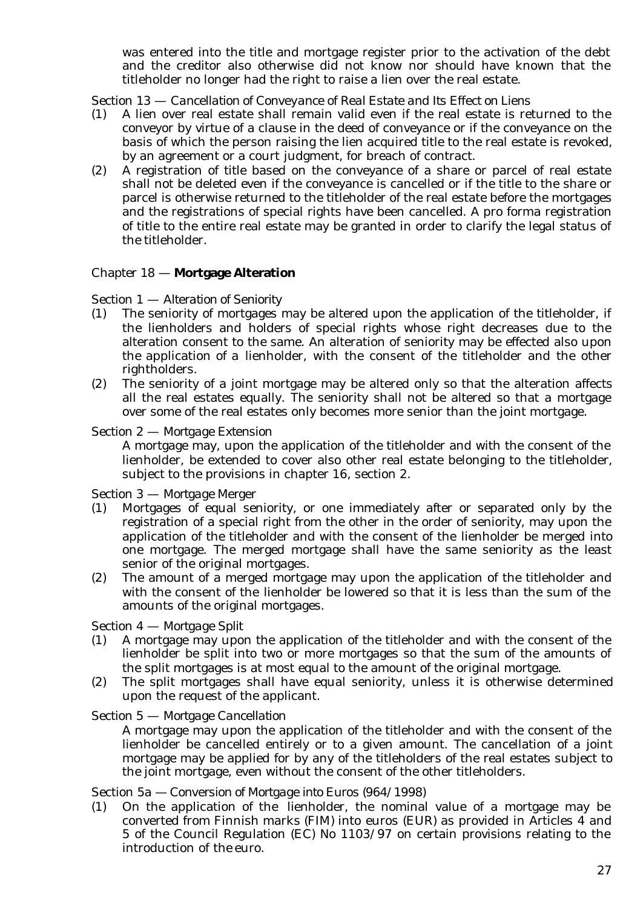was entered into the title and mortgage register prior to the activation of the debt and the creditor also otherwise did not know nor should have known that the titleholder no longer had the right to raise a lien over the real estate.

Section 13 — *Cancellation of Conveyance of Real Estate and Its Effect on Liens*

- (1) A lien over real estate shall remain valid even if the real estate is returned to the conveyor by virtue of a clause in the deed of conveyance or if the conveyance on the basis of which the person raising the lien acquired title to the real estate is revoked, by an agreement or a court judgment, for breach of contract.
- (2) A registration of title based on the conveyance of a share or parcel of real estate shall not be deleted even if the conveyance is cancelled or if the title to the share or parcel is otherwise returned to the titleholder of the real estate before the mortgages and the registrations of special rights have been cancelled. A pro forma registration of title to the entire real estate may be granted in order to clarify the legal status of the titleholder.

### Chapter 18 — **Mortgage Alteration**

### Section 1 — *Alteration of Seniority*

- (1) The seniority of mortgages may be altered upon the application of the titleholder, if the lienholders and holders of special rights whose right decreases due to the alteration consent to the same. An alteration of seniority may be effected also upon the application of a lienholder, with the consent of the titleholder and the other rightholders.
- (2) The seniority of a joint mortgage may be altered only so that the alteration affects all the real estates equally. The seniority shall not be altered so that a mortgage over some of the real estates only becomes more senior than the joint mortgage.

### Section 2 — *Mortgage Extension*

A mortgage may, upon the application of the titleholder and with the consent of the lienholder, be extended to cover also other real estate belonging to the titleholder, subject to the provisions in chapter 16, section 2.

Section 3 — *Mortgage Merger*

- (1) Mortgages of equal seniority, or one immediately after or separated only by the registration of a special right from the other in the order of seniority, may upon the application of the titleholder and with the consent of the lienholder be merged into one mortgage. The merged mortgage shall have the same seniority as the least senior of the original mortgages.
- (2) The amount of a merged mortgage may upon the application of the titleholder and with the consent of the lienholder be lowered so that it is less than the sum of the amounts of the original mortgages.

### Section 4 — *Mortgage Split*

- (1) A mortgage may upon the application of the titleholder and with the consent of the lienholder be split into two or more mortgages so that the sum of the amounts of the split mortgages is at most equal to the amount of the original mortgage.
- (2) The split mortgages shall have equal seniority, unless it is otherwise determined upon the request of the applicant.

### Section 5 — *Mortgage Cancellation*

A mortgage may upon the application of the titleholder and with the consent of the lienholder be cancelled entirely or to a given amount. The cancellation of a joint mortgage may be applied for by any of the titleholders of the real estates subject to the joint mortgage, even without the consent of the other titleholders.

### Section 5a — *Conversion of Mortgage into Euros* (964/1998)

(1) On the application of the lienholder, the nominal value of a mortgage may be converted from Finnish marks (FIM) into euros (EUR) as provided in Articles 4 and 5 of the Council Regulation (EC) No 1103/97 on certain provisions relating to the introduction of the euro.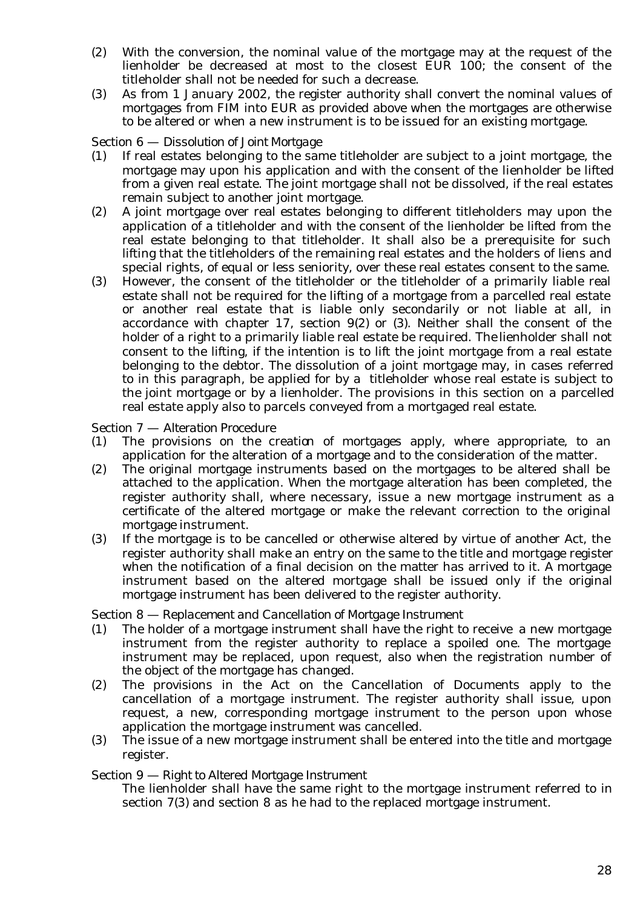- (2) With the conversion, the nominal value of the mortgage may at the request of the lienholder be decreased at most to the closest EUR 100; the consent of the titleholder shall not be needed for such a decrease.
- (3) As from 1 January 2002, the register authority shall convert the nominal values of mortgages from FIM into EUR as provided above when the mortgages are otherwise to be altered or when a new instrument is to be issued for an existing mortgage.

### Section 6 — *Dissolution of Joint Mortgage*

- (1) If real estates belonging to the same titleholder are subject to a joint mortgage, the mortgage may upon his application and with the consent of the lienholder be lifted from a given real estate. The joint mortgage shall not be dissolved, if the real estates remain subject to another joint mortgage.
- (2) A joint mortgage over real estates belonging to different titleholders may upon the application of a titleholder and with the consent of the lienholder be lifted from the real estate belonging to that titleholder. It shall also be a prerequisite for such lifting that the titleholders of the remaining real estates and the holders of liens and special rights, of equal or less seniority, over these real estates consent to the same.
- (3) However, the consent of the titleholder or the titleholder of a primarily liable real estate shall not be required for the lifting of a mortgage from a parcelled real estate or another real estate that is liable only secondarily or not liable at all, in accordance with chapter 17, section 9(2) or (3). Neither shall the consent of the holder of a right to a primarily liable real estate be required. The lienholder shall not consent to the lifting, if the intention is to lift the joint mortgage from a real estate belonging to the debtor. The dissolution of a joint mortgage may, in cases referred to in this paragraph, be applied for by a titleholder whose real estate is subject to the joint mortgage or by a lienholder. The provisions in this section on a parcelled real estate apply also to parcels conveyed from a mortgaged real estate.

Section 7 — *Alteration Procedure*

- (1) The provisions on the creation of mortgages apply, where appropriate, to an application for the alteration of a mortgage and to the consideration of the matter.
- (2) The original mortgage instruments based on the mortgages to be altered shall be attached to the application. When the mortgage alteration has been completed, the register authority shall, where necessary, issue a new mortgage instrument as a certificate of the altered mortgage or make the relevant correction to the original mortgage instrument.
- (3) If the mortgage is to be cancelled or otherwise altered by virtue of another Act, the register authority shall make an entry on the same to the title and mortgage register when the notification of a final decision on the matter has arrived to it. A mortgage instrument based on the altered mortgage shall be issued only if the original mortgage instrument has been delivered to the register authority.

Section 8 — *Replacement and Cancellation of Mortgage Instrument*

- (1) The holder of a mortgage instrument shall have the right to receive a new mortgage instrument from the register authority to replace a spoiled one. The mortgage instrument may be replaced, upon request, also when the registration number of the object of the mortgage has changed.
- (2) The provisions in the Act on the Cancellation of Documents apply to the cancellation of a mortgage instrument. The register authority shall issue, upon request, a new, corresponding mortgage instrument to the person upon whose application the mortgage instrument was cancelled.
- (3) The issue of a new mortgage instrument shall be entered into the title and mortgage register.

### Section 9 — *Right to Altered Mortgage Instrument*

The lienholder shall have the same right to the mortgage instrument referred to in section 7(3) and section 8 as he had to the replaced mortgage instrument.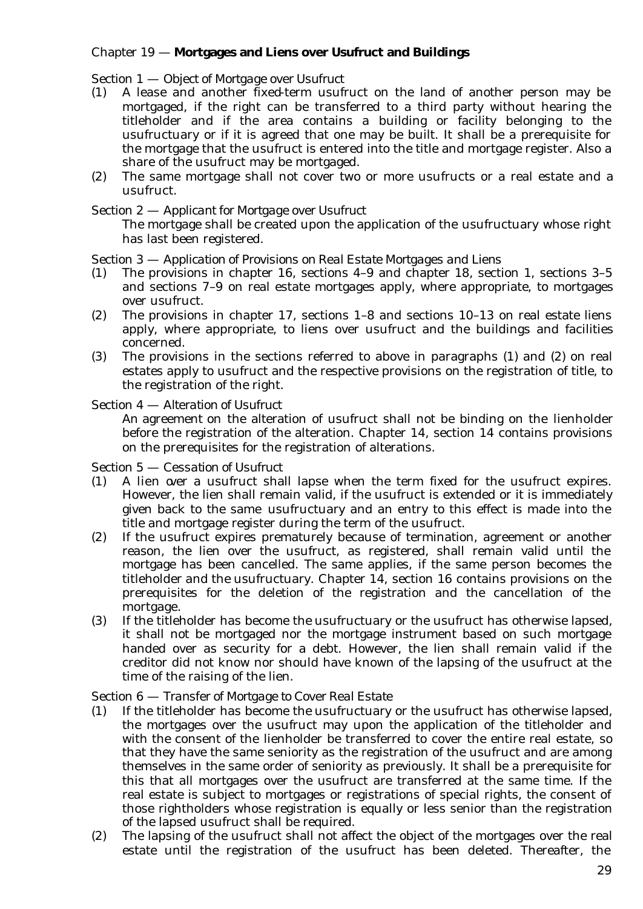### Chapter 19 — **Mortgages and Liens over Usufruct and Buildings**

### Section 1 — *Object of Mortgage over Usufruct*

- (1) A lease and another fixed-term usufruct on the land of another person may be mortgaged, if the right can be transferred to a third party without hearing the titleholder and if the area contains a building or facility belonging to the usufructuary or if it is agreed that one may be built. It shall be a prerequisite for the mortgage that the usufruct is entered into the title and mortgage register. Also a share of the usufruct may be mortgaged.
- (2) The same mortgage shall not cover two or more usufructs or a real estate and a usufruct.

### Section 2 — *Applicant for Mortgage over Usufruct*

The mortgage shall be created upon the application of the usufructuary whose right has last been registered.

### Section 3 — *Application of Provisions on Real Estate Mortgages and Liens*

- (1) The provisions in chapter 16, sections 4–9 and chapter 18, section 1, sections 3–5 and sections 7–9 on real estate mortgages apply, where appropriate, to mortgages over usufruct.
- (2) The provisions in chapter 17, sections 1–8 and sections 10–13 on real estate liens apply, where appropriate, to liens over usufruct and the buildings and facilities concerned.
- (3) The provisions in the sections referred to above in paragraphs (1) and (2) on real estates apply to usufruct and the respective provisions on the registration of title, to the registration of the right.

### Section 4 — *Alteration of Usufruct*

An agreement on the alteration of usufruct shall not be binding on the lienholder before the registration of the alteration. Chapter 14, section 14 contains provisions on the prerequisites for the registration of alterations.

Section 5 — *Cessation of Usufruct*

- (1) A lien over a usufruct shall lapse when the term fixed for the usufruct expires. However, the lien shall remain valid, if the usufruct is extended or it is immediately given back to the same usufructuary and an entry to this effect is made into the title and mortgage register during the term of the usufruct.
- (2) If the usufruct expires prematurely because of termination, agreement or another reason, the lien over the usufruct, as registered, shall remain valid until the mortgage has been cancelled. The same applies, if the same person becomes the titleholder and the usufructuary. Chapter 14, section 16 contains provisions on the prerequisites for the deletion of the registration and the cancellation of the mortgage.
- (3) If the titleholder has become the usufructuary or the usufruct has otherwise lapsed, it shall not be mortgaged nor the mortgage instrument based on such mortgage handed over as security for a debt. However, the lien shall remain valid if the creditor did not know nor should have known of the lapsing of the usufruct at the time of the raising of the lien.

### Section 6 — *Transfer of Mortgage to Cover Real Estate*

- (1) If the titleholder has become the usufructuary or the usufruct has otherwise lapsed, the mortgages over the usufruct may upon the application of the titleholder and with the consent of the lienholder be transferred to cover the entire real estate, so that they have the same seniority as the registration of the usufruct and are among themselves in the same order of seniority as previously. It shall be a prerequisite for this that all mortgages over the usufruct are transferred at the same time. If the real estate is subject to mortgages or registrations of special rights, the consent of those rightholders whose registration is equally or less senior than the registration of the lapsed usufruct shall be required.
- (2) The lapsing of the usufruct shall not affect the object of the mortgages over the real estate until the registration of the usufruct has been deleted. Thereafter, the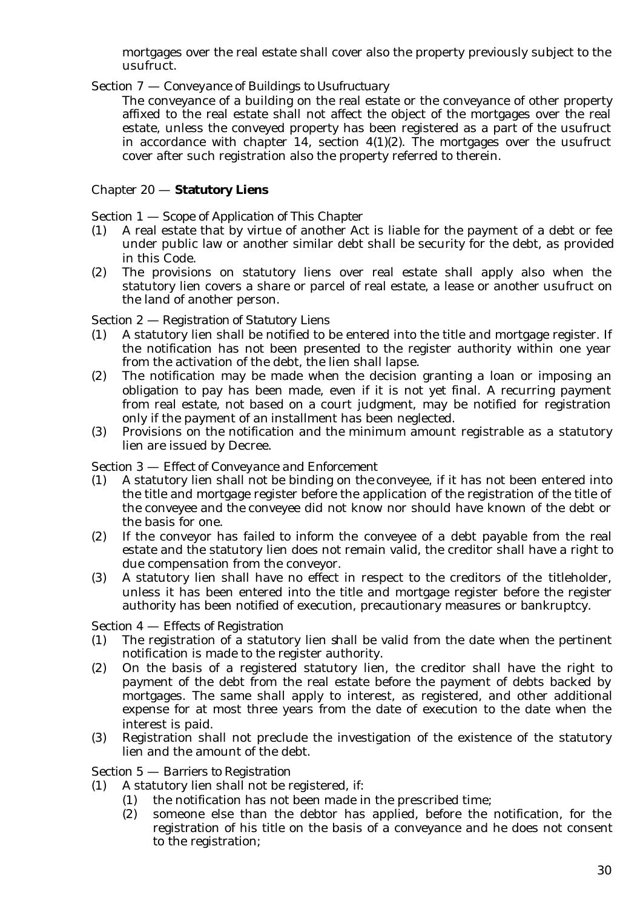mortgages over the real estate shall cover also the property previously subject to the usufruct.

### Section 7 — C*onveyance of Buildings to Usufructuary*

The conveyance of a building on the real estate or the conveyance of other property affixed to the real estate shall not affect the object of the mortgages over the real estate, unless the conveyed property has been registered as a part of the usufruct in accordance with chapter 14, section  $4(1)(2)$ . The mortgages over the usufruct cover after such registration also the property referred to therein.

### Chapter 20 — **Statutory Liens**

### Section 1 — *Scope of Application of This Chapter*

- (1) A real estate that by virtue of another Act is liable for the payment of a debt or fee under public law or another similar debt shall be security for the debt, as provided in this Code.
- (2) The provisions on statutory liens over real estate shall apply also when the statutory lien covers a share or parcel of real estate, a lease or another usufruct on the land of another person.

### Section 2 — *Registration of Statutory Liens*

- (1) A statutory lien shall be notified to be entered into the title and mortgage register. If the notification has not been presented to the register authority within one year from the activation of the debt, the lien shall lapse.
- (2) The notification may be made when the decision granting a loan or imposing an obligation to pay has been made, even if it is not yet final. A recurring payment from real estate, not based on a court judgment, may be notified for registration only if the payment of an installment has been neglected.
- (3) Provisions on the notification and the minimum amount registrable as a statutory lien are issued by Decree.

### Section 3 — *Effect of Conveyance and Enforcement*

- (1) A statutory lien shall not be binding on the conveyee, if it has not been entered into the title and mortgage register before the application of the registration of the title of the conveyee and the conveyee did not know nor should have known of the debt or the basis for one.
- (2) If the conveyor has failed to inform the conveyee of a debt payable from the real estate and the statutory lien does not remain valid, the creditor shall have a right to due compensation from the conveyor.
- (3) A statutory lien shall have no effect in respect to the creditors of the titleholder, unless it has been entered into the title and mortgage register before the register authority has been notified of execution, precautionary measures or bankruptcy.

### Section 4 — *Effects of Registration*

- (1) The registration of a statutory lien shall be valid from the date when the pertinent notification is made to the register authority.
- (2) On the basis of a registered statutory lien, the creditor shall have the right to payment of the debt from the real estate before the payment of debts backed by mortgages. The same shall apply to interest, as registered, and other additional expense for at most three years from the date of execution to the date when the interest is paid.
- (3) Registration shall not preclude the investigation of the existence of the statutory lien and the amount of the debt.

#### Section 5 — *Barriers to Registration*

- (1) A statutory lien shall not be registered, if:
	- (1) the notification has not been made in the prescribed time;
	- (2) someone else than the debtor has applied, before the notification, for the registration of his title on the basis of a conveyance and he does not consent to the registration;